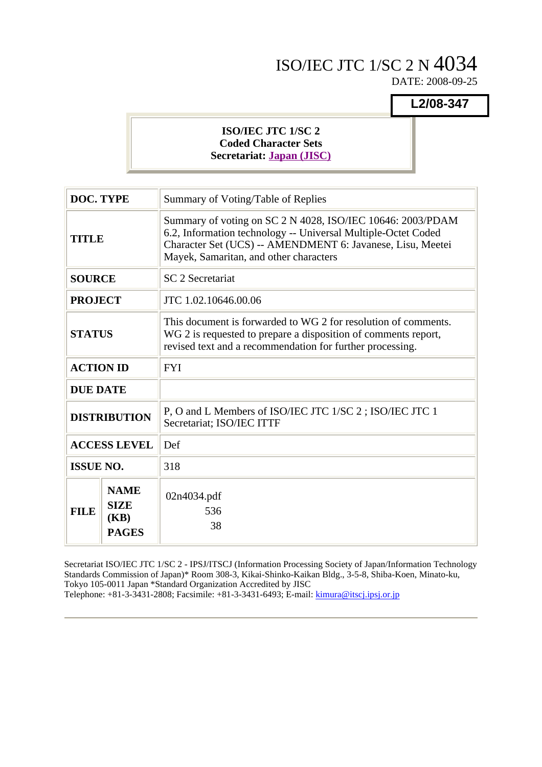# ISO/IEC JTC 1/SC 2 N 4034

DATE: 2008-09-25

**L2/08-347**

## **ISO/IEC JTC 1/SC 2 Coded Character Sets Secretariat: Japan (JISC)**

| <b>DOC. TYPE</b> |                                                    | Summary of Voting/Table of Replies                                                                                                                                                                                                  |  |  |  |  |  |
|------------------|----------------------------------------------------|-------------------------------------------------------------------------------------------------------------------------------------------------------------------------------------------------------------------------------------|--|--|--|--|--|
| <b>TITLE</b>     |                                                    | Summary of voting on SC 2 N 4028, ISO/IEC 10646: 2003/PDAM<br>6.2, Information technology -- Universal Multiple-Octet Coded<br>Character Set (UCS) -- AMENDMENT 6: Javanese, Lisu, Meetei<br>Mayek, Samaritan, and other characters |  |  |  |  |  |
| <b>SOURCE</b>    |                                                    | <b>SC 2 Secretariat</b>                                                                                                                                                                                                             |  |  |  |  |  |
| <b>PROJECT</b>   |                                                    | JTC 1.02.10646.00.06                                                                                                                                                                                                                |  |  |  |  |  |
| <b>STATUS</b>    |                                                    | This document is forwarded to WG 2 for resolution of comments.<br>WG 2 is requested to prepare a disposition of comments report,<br>revised text and a recommendation for further processing.                                       |  |  |  |  |  |
| <b>ACTION ID</b> |                                                    | <b>FYI</b>                                                                                                                                                                                                                          |  |  |  |  |  |
| <b>DUE DATE</b>  |                                                    |                                                                                                                                                                                                                                     |  |  |  |  |  |
|                  | <b>DISTRIBUTION</b>                                | P, O and L Members of ISO/IEC JTC 1/SC 2; ISO/IEC JTC 1<br>Secretariat; ISO/IEC ITTF                                                                                                                                                |  |  |  |  |  |
|                  | <b>ACCESS LEVEL</b>                                | Def                                                                                                                                                                                                                                 |  |  |  |  |  |
| <b>ISSUE NO.</b> |                                                    | 318                                                                                                                                                                                                                                 |  |  |  |  |  |
| <b>FILE</b>      | <b>NAME</b><br><b>SIZE</b><br>(KB)<br><b>PAGES</b> | 02n4034.pdf<br>536<br>38                                                                                                                                                                                                            |  |  |  |  |  |

Secretariat ISO/IEC JTC 1/SC 2 - IPSJ/ITSCJ (Information Processing Society of Japan/Information Technology Standards Commission of Japan)\* Room 308-3, Kikai-Shinko-Kaikan Bldg., 3-5-8, Shiba-Koen, Minato-ku, Tokyo 105-0011 Japan \*Standard Organization Accredited by JISC Telephone: +81-3-3431-2808; Facsimile: +81-3-3431-6493; E-mail: kimura@itscj.ipsj.or.jp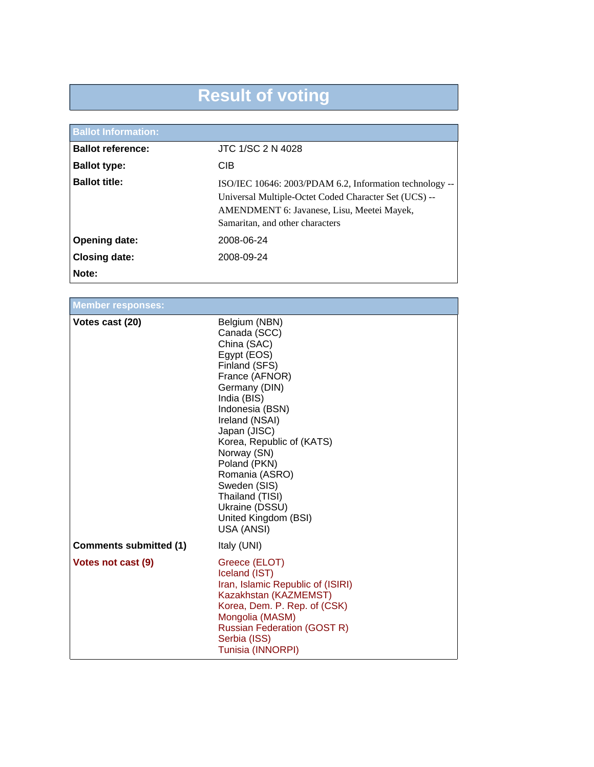# **Result of voting**

| <b>Ballot Information:</b> |                                                                                                                                                                                                   |
|----------------------------|---------------------------------------------------------------------------------------------------------------------------------------------------------------------------------------------------|
| <b>Ballot reference:</b>   | JTC 1/SC 2 N 4028                                                                                                                                                                                 |
| <b>Ballot type:</b>        | <b>CIB</b>                                                                                                                                                                                        |
| <b>Ballot title:</b>       | ISO/IEC 10646: 2003/PDAM 6.2, Information technology --<br>Universal Multiple-Octet Coded Character Set (UCS) --<br>AMENDMENT 6: Javanese, Lisu, Meetei Mayek,<br>Samaritan, and other characters |
| <b>Opening date:</b>       | 2008-06-24                                                                                                                                                                                        |
| <b>Closing date:</b>       | 2008-09-24                                                                                                                                                                                        |
| Note:                      |                                                                                                                                                                                                   |

| <b>Member responses:</b>      |                                                                                                                                                                                                                                                                                                                                                              |
|-------------------------------|--------------------------------------------------------------------------------------------------------------------------------------------------------------------------------------------------------------------------------------------------------------------------------------------------------------------------------------------------------------|
| Votes cast (20)               | Belgium (NBN)<br>Canada (SCC)<br>China (SAC)<br>Egypt (EOS)<br>Finland (SFS)<br>France (AFNOR)<br>Germany (DIN)<br>India (BIS)<br>Indonesia (BSN)<br>Ireland (NSAI)<br>Japan (JISC)<br>Korea, Republic of (KATS)<br>Norway (SN)<br>Poland (PKN)<br>Romania (ASRO)<br>Sweden (SIS)<br>Thailand (TISI)<br>Ukraine (DSSU)<br>United Kingdom (BSI)<br>USA (ANSI) |
| <b>Comments submitted (1)</b> | Italy (UNI)                                                                                                                                                                                                                                                                                                                                                  |
| Votes not cast (9)            | Greece (ELOT)<br>Iceland (IST)<br>Iran, Islamic Republic of (ISIRI)<br>Kazakhstan (KAZMEMST)<br>Korea, Dem. P. Rep. of (CSK)<br>Mongolia (MASM)<br><b>Russian Federation (GOST R)</b><br>Serbia (ISS)<br>Tunisia (INNORPI)                                                                                                                                   |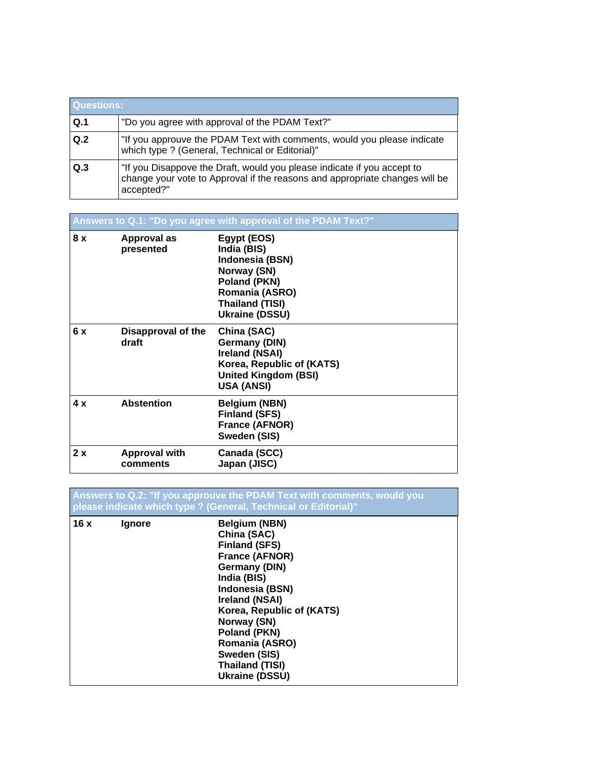|     | <b>Questions:</b>                                                                                                                                                    |  |  |  |  |  |  |
|-----|----------------------------------------------------------------------------------------------------------------------------------------------------------------------|--|--|--|--|--|--|
| Q.1 | "Do you agree with approval of the PDAM Text?"                                                                                                                       |  |  |  |  |  |  |
| Q.2 | "If you approuve the PDAM Text with comments, would you please indicate<br>which type ? (General, Technical or Editorial)"                                           |  |  |  |  |  |  |
| Q.3 | "If you Disappove the Draft, would you please indicate if you accept to<br>change your vote to Approval if the reasons and appropriate changes will be<br>accepted?" |  |  |  |  |  |  |

**Answers to Q.1: "Do you agree with approval of the PDAM Text?" 8 x Approval as presented Egypt (EOS) India (BIS) Indonesia (BSN) Norway (SN) Poland (PKN) Romania (ASRO) Thailand (TISI) Ukraine (DSSU) 6 x Disapproval of the draft China (SAC) Germany (DIN) Ireland (NSAI) Korea, Republic of (KATS) United Kingdom (BSI) USA (ANSI) 4 x Abstention Belgium (NBN) Finland (SFS) France (AFNOR) Sweden (SIS) 2 x Approval with comments Canada (SCC) Japan (JISC)**

**Answers to Q.2: "If you approuve the PDAM Text with comments, would you please indicate which type ? (General, Technical or Editorial)" 16 x Ignore Belgium (NBN) China (SAC) Finland (SFS) France (AFNOR) Germany (DIN) India (BIS) Indonesia (BSN) Ireland (NSAI) Korea, Republic of (KATS) Norway (SN) Poland (PKN) Romania (ASRO) Sweden (SIS) Thailand (TISI) Ukraine (DSSU)**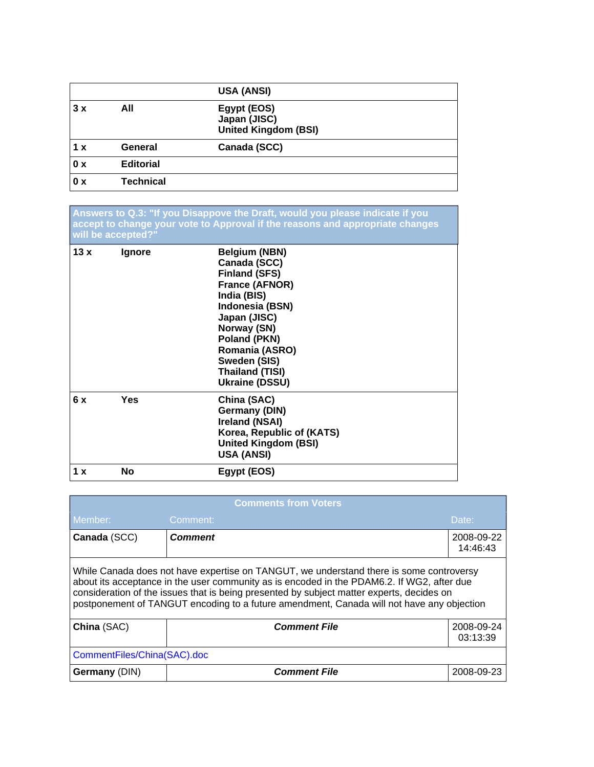|     |                  | <b>USA (ANSI)</b>                                          |
|-----|------------------|------------------------------------------------------------|
| 3x  | All              | Egypt (EOS)<br>Japan (JISC)<br><b>United Kingdom (BSI)</b> |
| 1 x | General          | Canada (SCC)                                               |
| 0 x | <b>Editorial</b> |                                                            |
| 0 x | <b>Technical</b> |                                                            |

**Answers to Q.3: "If you Disappove the Draft, would you please indicate if you accept to change your vote to Approval if the reasons and appropriate changes will be accepted?"**

| 13x | <b>Ignore</b> | <b>Belgium (NBN)</b><br>Canada (SCC)<br><b>Finland (SFS)</b><br>France (AFNOR)<br>India (BIS)<br>Indonesia (BSN)<br>Japan (JISC)<br>Norway (SN)<br>Poland (PKN)<br>Romania (ASRO)<br>Sweden (SIS)<br>Thailand (TISI)<br><b>Ukraine (DSSU)</b> |
|-----|---------------|-----------------------------------------------------------------------------------------------------------------------------------------------------------------------------------------------------------------------------------------------|
| 6x  | Yes           | China (SAC)<br><b>Germany (DIN)</b><br>Ireland (NSAI)<br>Korea, Republic of (KATS)<br><b>United Kingdom (BSI)</b><br><b>USA (ANSI)</b>                                                                                                        |
| 1 x | <b>No</b>     | Egypt (EOS)                                                                                                                                                                                                                                   |

| <b>Comments from Voters</b>                                  |                                                                                                                                                                                                                                                                                                                                                                                 |            |  |  |  |  |  |
|--------------------------------------------------------------|---------------------------------------------------------------------------------------------------------------------------------------------------------------------------------------------------------------------------------------------------------------------------------------------------------------------------------------------------------------------------------|------------|--|--|--|--|--|
| Member:<br>Comment:<br>Date:                                 |                                                                                                                                                                                                                                                                                                                                                                                 |            |  |  |  |  |  |
| Canada (SCC)<br><b>Comment</b><br>2008-09-22                 |                                                                                                                                                                                                                                                                                                                                                                                 |            |  |  |  |  |  |
|                                                              | While Canada does not have expertise on TANGUT, we understand there is some controversy<br>about its acceptance in the user community as is encoded in the PDAM6.2. If WG2, after due<br>consideration of the issues that is being presented by subject matter experts, decides on<br>postponement of TANGUT encoding to a future amendment, Canada will not have any objection |            |  |  |  |  |  |
| China (SAC)<br><b>Comment File</b><br>2008-09-24<br>03:13:39 |                                                                                                                                                                                                                                                                                                                                                                                 |            |  |  |  |  |  |
| CommentFiles/China(SAC).doc                                  |                                                                                                                                                                                                                                                                                                                                                                                 |            |  |  |  |  |  |
| Germany (DIN)                                                | <b>Comment File</b>                                                                                                                                                                                                                                                                                                                                                             | 2008-09-23 |  |  |  |  |  |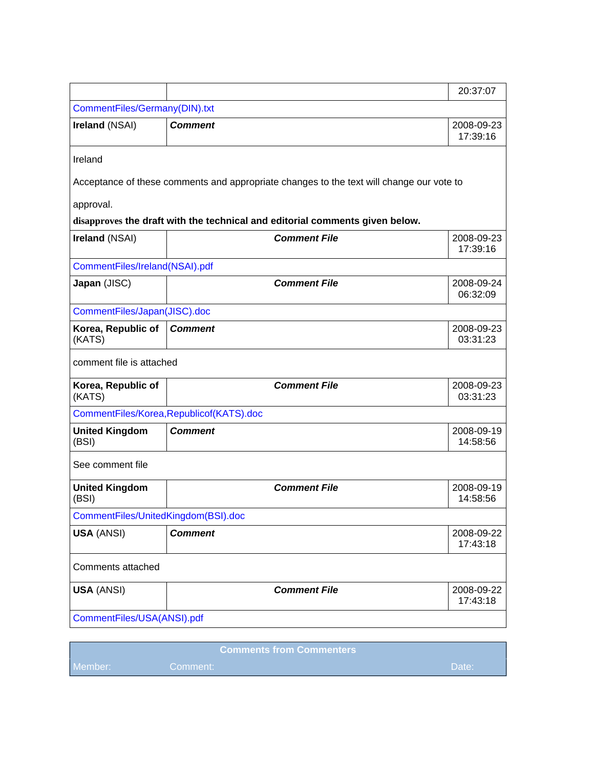|                                     |                                                                                          | 20:37:07               |
|-------------------------------------|------------------------------------------------------------------------------------------|------------------------|
| CommentFiles/Germany(DIN).txt       |                                                                                          |                        |
| Ireland (NSAI)                      | <b>Comment</b>                                                                           | 2008-09-23<br>17:39:16 |
| Ireland                             |                                                                                          |                        |
|                                     | Acceptance of these comments and appropriate changes to the text will change our vote to |                        |
| approval.                           |                                                                                          |                        |
|                                     | disapproves the draft with the technical and editorial comments given below.             |                        |
| Ireland (NSAI)                      | <b>Comment File</b>                                                                      | 2008-09-23<br>17:39:16 |
| CommentFiles/Ireland(NSAI).pdf      |                                                                                          |                        |
| Japan (JISC)                        | <b>Comment File</b>                                                                      | 2008-09-24<br>06:32:09 |
| CommentFiles/Japan(JISC).doc        |                                                                                          |                        |
| Korea, Republic of<br>(KATS)        | <b>Comment</b>                                                                           | 2008-09-23<br>03:31:23 |
| comment file is attached            |                                                                                          |                        |
| Korea, Republic of<br>(KATS)        | <b>Comment File</b>                                                                      | 2008-09-23<br>03:31:23 |
|                                     | CommentFiles/Korea, Republicof(KATS).doc                                                 |                        |
| <b>United Kingdom</b><br>(BSI)      | <b>Comment</b>                                                                           | 2008-09-19<br>14:58:56 |
| See comment file                    |                                                                                          |                        |
| <b>United Kingdom</b><br>(BSI)      | <b>Comment File</b>                                                                      | 2008-09-19<br>14:58:56 |
| CommentFiles/UnitedKingdom(BSI).doc |                                                                                          |                        |
| <b>USA (ANSI)</b>                   | <b>Comment</b>                                                                           | 2008-09-22<br>17:43:18 |
| Comments attached                   |                                                                                          |                        |
| <b>USA (ANSI)</b>                   | <b>Comment File</b>                                                                      | 2008-09-22<br>17:43:18 |
| CommentFiles/USA(ANSI).pdf          |                                                                                          |                        |
|                                     |                                                                                          |                        |

|         | <b>Comments from Commenters</b> |                |
|---------|---------------------------------|----------------|
| Member: | /Comment:                       | <b>NDate</b> : |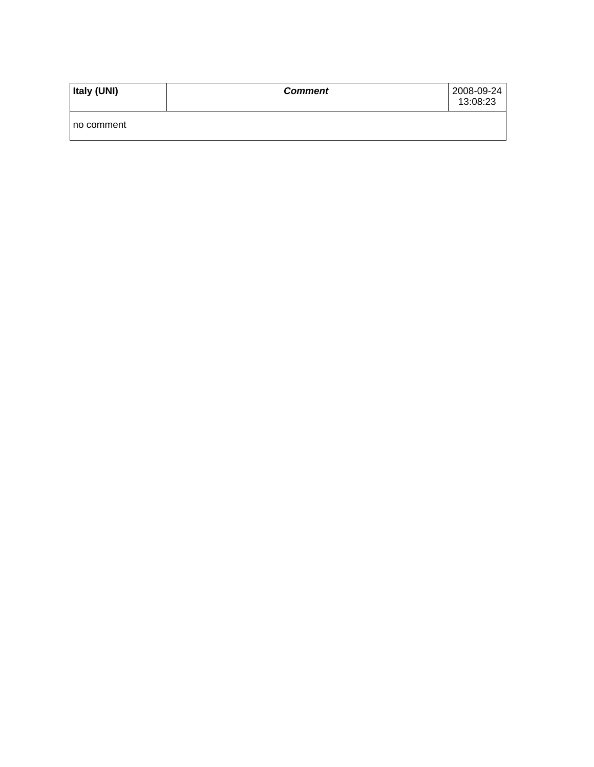| Italy (UNI) | <b>Comment</b> | 2008-09-24<br>13:08:23 |
|-------------|----------------|------------------------|
| no comment  |                |                        |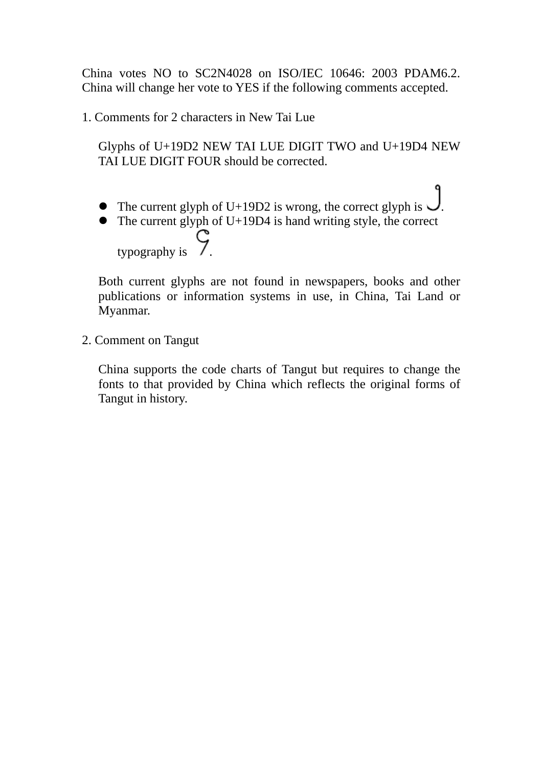China votes NO to SC2N4028 on ISO/IEC 10646: 2003 PDAM6.2. China will change her vote to YES if the following comments accepted.

1. Comments for 2 characters in New Tai Lue

Glyphs of U+19D2 NEW TAI LUE DIGIT TWO and U+19D4 NEW TAI LUE DIGIT FOUR should be corrected.

- The current glyph of U+19D2 is wrong, the correct glyph is  $\bigcup$ .
- $\bullet$  The current glyph of U+19D4 is hand writing style, the correct typography is  $\zeta$

Both current glyphs are not found in newspapers, books and other publications or information systems in use, in China, Tai Land or Myanmar.

2. Comment on Tangut

China supports the code charts of Tangut but requires to change the fonts to that provided by China which reflects the original forms of Tangut in history.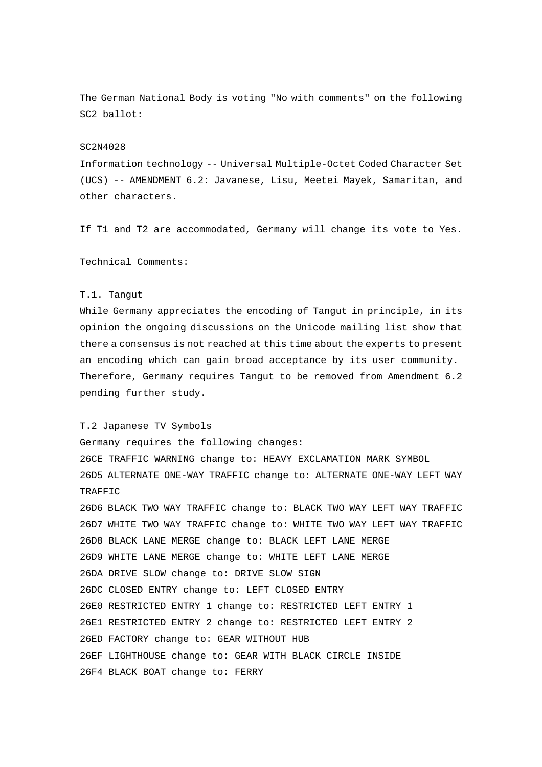The German National Body is voting "No with comments" on the following SC2 ballot:

#### SC2N4028

Information technology -- Universal Multiple-Octet Coded Character Set (UCS) -- AMENDMENT 6.2: Javanese, Lisu, Meetei Mayek, Samaritan, and other characters.

If T1 and T2 are accommodated, Germany will change its vote to Yes.

Technical Comments:

#### T.1. Tangut

While Germany appreciates the encoding of Tangut in principle, in its opinion the ongoing discussions on the Unicode mailing list show that there a consensus is not reached at this time about the experts to present an encoding which can gain broad acceptance by its user community. Therefore, Germany requires Tangut to be removed from Amendment 6.2 pending further study.

#### T.2 Japanese TV Symbols

Germany requires the following changes: 26CE TRAFFIC WARNING change to: HEAVY EXCLAMATION MARK SYMBOL 26D5 ALTERNATE ONE-WAY TRAFFIC change to: ALTERNATE ONE-WAY LEFT WAY TRAFFIC

26D6 BLACK TWO WAY TRAFFIC change to: BLACK TWO WAY LEFT WAY TRAFFIC 26D7 WHITE TWO WAY TRAFFIC change to: WHITE TWO WAY LEFT WAY TRAFFIC 26D8 BLACK LANE MERGE change to: BLACK LEFT LANE MERGE 26D9 WHITE LANE MERGE change to: WHITE LEFT LANE MERGE 26DA DRIVE SLOW change to: DRIVE SLOW SIGN 26DC CLOSED ENTRY change to: LEFT CLOSED ENTRY 26E0 RESTRICTED ENTRY 1 change to: RESTRICTED LEFT ENTRY 1 26E1 RESTRICTED ENTRY 2 change to: RESTRICTED LEFT ENTRY 2 26ED FACTORY change to: GEAR WITHOUT HUB 26EF LIGHTHOUSE change to: GEAR WITH BLACK CIRCLE INSIDE 26F4 BLACK BOAT change to: FERRY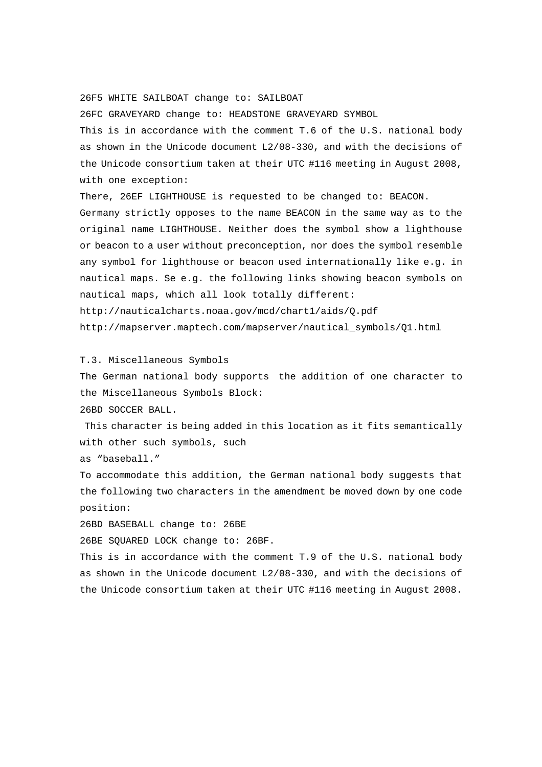26F5 WHITE SAILBOAT change to: SAILBOAT

26FC GRAVEYARD change to: HEADSTONE GRAVEYARD SYMBOL

This is in accordance with the comment T.6 of the U.S. national body as shown in the Unicode document L2/08-330, and with the decisions of the Unicode consortium taken at their UTC #116 meeting in August 2008, with one exception:

There, 26EF LIGHTHOUSE is requested to be changed to: BEACON.

Germany strictly opposes to the name BEACON in the same way as to the original name LIGHTHOUSE. Neither does the symbol show a lighthouse or beacon to a user without preconception, nor does the symbol resemble any symbol for lighthouse or beacon used internationally like e.g. in nautical maps. Se e.g. the following links showing beacon symbols on nautical maps, which all look totally different:

http://nauticalcharts.noaa.gov/mcd/chart1/aids/Q.pdf

http://mapserver.maptech.com/mapserver/nautical\_symbols/Q1.html

T.3. Miscellaneous Symbols

The German national body supports the addition of one character to the Miscellaneous Symbols Block:

26BD SOCCER BALL.

 This character is being added in this location as it fits semantically with other such symbols, such

as "baseball."

To accommodate this addition, the German national body suggests that the following two characters in the amendment be moved down by one code position:

26BD BASEBALL change to: 26BE

26BE SQUARED LOCK change to: 26BF.

This is in accordance with the comment T.9 of the U.S. national body as shown in the Unicode document L2/08-330, and with the decisions of the Unicode consortium taken at their UTC #116 meeting in August 2008.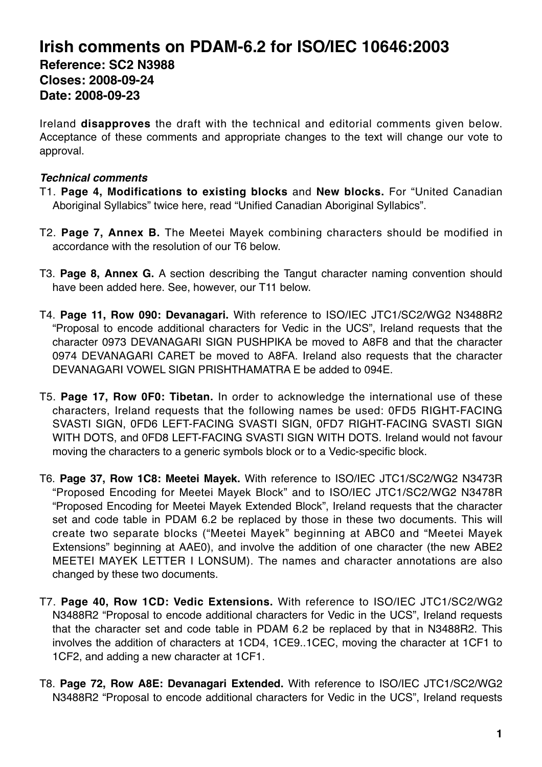# **Irish comments on PDAM-6.2 for ISO/IEC 10646:2003 Reference: SC2 N3988 Closes: 2008-09-24 Date: 2008-09-23**

Ireland **disapproves** the draft with the technical and editorial comments given below. Acceptance of these comments and appropriate changes to the text will change our vote to approval.

# *Technical comments*

- T1. **Page 4, Modifications to existing blocks** and **New blocks.** For "United Canadian Aboriginal Syllabics" twice here, read "Unified Canadian Aboriginal Syllabics".
- T2. **Page 7, Annex B.** The Meetei Mayek combining characters should be modified in accordance with the resolution of our T6 below.
- T3. **Page 8, Annex G.** A section describing the Tangut character naming convention should have been added here. See, however, our T11 below.
- T4. **Page 11, Row 090: Devanagari.** With reference to ISO/IEC JTC1/SC2/WG2 N3488R2 "Proposal to encode additional characters for Vedic in the UCS", Ireland requests that the character 0973 DEVANAGARI SIGN PUSHPIKA be moved to A8F8 and that the character 0974 DEVANAGARI CARET be moved to A8FA. Ireland also requests that the character DEVANAGARI VOWEL SIGN PRISHTHAMATRA E be added to 094E.
- T5. **Page 17, Row 0F0: Tibetan.** In order to acknowledge the international use of these characters, Ireland requests that the following names be used: 0FD5 RIGHT-FACING SVASTI SIGN, 0FD6 LEFT-FACING SVASTI SIGN, 0FD7 RIGHT-FACING SVASTI SIGN WITH DOTS, and 0FD8 LEFT-FACING SVASTI SIGN WITH DOTS. Ireland would not favour moving the characters to a generic symbols block or to a Vedic-specific block.
- T6. **Page 37, Row 1C8: Meetei Mayek.** With reference to ISO/IEC JTC1/SC2/WG2 N3473R "Proposed Encoding for Meetei Mayek Block" and to ISO/IEC JTC1/SC2/WG2 N3478R "Proposed Encoding for Meetei Mayek Extended Block", Ireland requests that the character set and code table in PDAM 6.2 be replaced by those in these two documents. This will create two separate blocks ("Meetei Mayek" beginning at ABC0 and "Meetei Mayek Extensions" beginning at AAE0), and involve the addition of one character (the new ABE2 MEETEI MAYEK LETTER I LONSUM). The names and character annotations are also changed by these two documents.
- T7. **Page 40, Row 1CD: Vedic Extensions.** With reference to ISO/IEC JTC1/SC2/WG2 N3488R2 "Proposal to encode additional characters for Vedic in the UCS", Ireland requests that the character set and code table in PDAM 6.2 be replaced by that in N3488R2. This involves the addition of characters at 1CD4, 1CE9..1CEC, moving the character at 1CF1 to 1CF2, and adding a new character at 1CF1.
- T8. **Page 72, Row A8E: Devanagari Extended.** With reference to ISO/IEC JTC1/SC2/WG2 N3488R2 "Proposal to encode additional characters for Vedic in the UCS", Ireland requests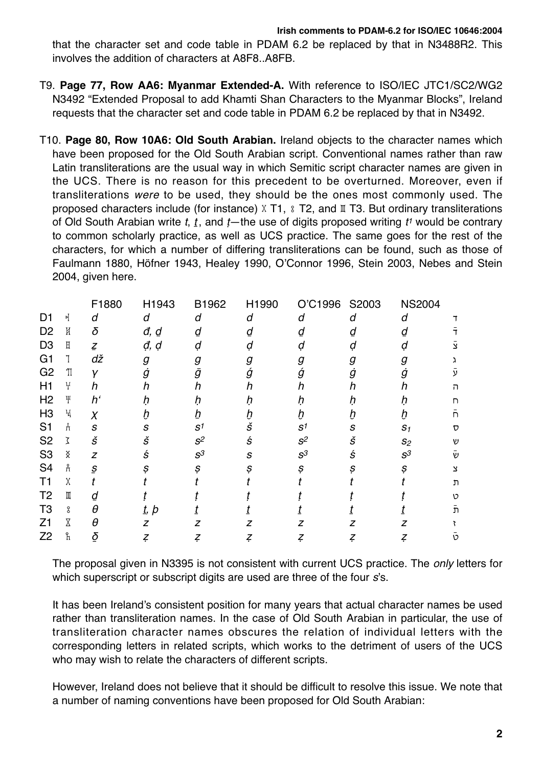## **Irish comments to PDAM-6.2 for ISO/IEC 10646:2004**

that the character set and code table in PDAM 6.2 be replaced by that in N3488R2. This involves the addition of characters at A8F8..A8FB.

- T9. **Page 77, Row AA6: Myanmar Extended-A.** With reference to ISO/IEC JTC1/SC2/WG2 N3492 "Extended Proposal to add Khamti Shan Characters to the Myanmar Blocks", Ireland requests that the character set and code table in PDAM 6.2 be replaced by that in N3492.
- T10. **Page 80, Row 10A6: Old South Arabian.** Ireland objects to the character names which have been proposed for the Old South Arabian script. Conventional names rather than raw Latin transliterations are the usual way in which Semitic script character names are given in the UCS. There is no reason for this precedent to be overturned. Moreover, even if transliterations were to be used, they should be the ones most commonly used. The proposed characters include (for instance)  $X$  T1,  $\S$  T2, and  $\mathbb I$  T3. But ordinary transliterations of Old South Arabian write t,  $t$ , and  $t$ —the use of digits proposed writing  $t^{\prime}$  would be contrary to common scholarly practice, as well as UCS practice. The same goes for the rest of the characters, for which a number of differing transliterations can be found, such as those of Faulmann 1880, Höfner 1943, Healey 1990, O'Connor 1996, Stein 2003, Nebes and Stein 2004, given here.

|                |                                         | F1880                     | H1943       | B1962                   | H1990 | 'C1996<br>Ö             | S2003 | <b>NS2004</b> |              |
|----------------|-----------------------------------------|---------------------------|-------------|-------------------------|-------|-------------------------|-------|---------------|--------------|
| D1             | 케                                       | d                         | d           | d                       | d     | d                       | d     | d             |              |
| D <sub>2</sub> | K                                       | δ                         | đ, <u>d</u> | ₫                       | d     |                         | d     | d             |              |
| D <sub>3</sub> | Ħ                                       | $\mathcal{Z}$             | đ, d        | ạ                       | ạ     | а                       | a     |               |              |
| G <sub>1</sub> |                                         | dž                        | g           | g                       | g     | g                       | g     | g             |              |
| G <sub>2</sub> | $\operatorname{\mathbb{T}}$             | γ                         | g           | Ī                       | g     | ģ                       |       | ġ             |              |
| H1             | ¥                                       | n                         | n           | n                       | n     | n                       | h     | h             | ה            |
| H <sub>2</sub> | $\mathfrak{P}$                          | h'                        | n           |                         |       |                         | n     |               | n            |
| H <sub>3</sub> | ዧ                                       | $\chi$                    |             |                         |       |                         |       |               | n            |
| S <sub>1</sub> | H                                       | $\boldsymbol{S}$          | S           | $\mathsf{s}^\mathsf{1}$ | Š     | $\mathsf{s}^\mathsf{1}$ | S     | $S_1$         | D            |
| S <sub>2</sub> | ζ                                       | Š                         | Š           | S <sup>2</sup>          | ś     | $S^2$                   | š     | $S_2$         | V)           |
| S <sub>3</sub> | $\mathbb X$                             | z                         | ś           | $S^3$                   | S     | $S^3$                   | ś     | $S^3$         | V            |
| S <sub>4</sub> | Å                                       | $\underline{\mathcal{S}}$ | s           | S                       | s     | s                       | S     | s             | $\mathbf{x}$ |
| T1             | χ                                       |                           |             |                         |       |                         |       |               | ת            |
| T <sub>2</sub> | $\rm I\hspace{-0.3mm}I\hspace{-0.3mm}I$ | ₫                         |             |                         |       |                         |       |               | 12           |
| T <sub>3</sub> | 8                                       | θ                         | t, p        |                         |       |                         |       |               | ת            |
| Z <sub>1</sub> | Χ                                       | θ                         | z           |                         |       |                         |       |               |              |
| Z2             | ኺ                                       | $\varrho$                 |             | Z.                      | Z.    | Z.                      | Ţ     | Z.            | ิเว          |
|                |                                         |                           |             |                         |       |                         |       |               |              |

The proposal given in N3395 is not consistent with current UCS practice. The *only* letters for which superscript or subscript digits are used are three of the four s's.

It has been Ireland's consistent position for many years that actual character names be used rather than transliteration names. In the case of Old South Arabian in particular, the use of transliteration character names obscures the relation of individual letters with the corresponding letters in related scripts, which works to the detriment of users of the UCS who may wish to relate the characters of different scripts.

However, Ireland does not believe that it should be difficult to resolve this issue. We note that a number of naming conventions have been proposed for Old South Arabian: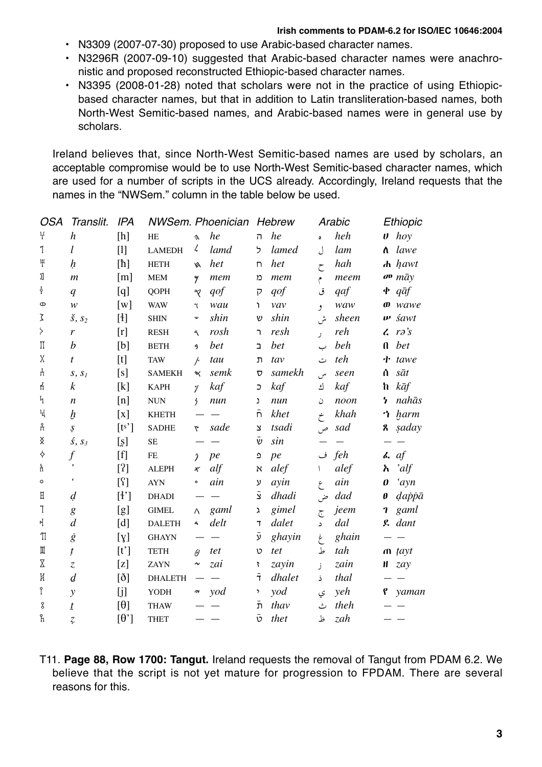#### **Irish comments to PDAM-6.2 for ISO/IEC 10646:2004**

- N3309 (2007-07-30) proposed to use Arabic-based character names.
- N3296R (2007-09-10) suggested that Arabic-based character names were anachronistic and proposed reconstructed Ethiopic-based character names.
- N3395 (2008-01-28) noted that scholars were not in the practice of using Ethiopicbased character names, but that in addition to Latin transliteration-based names, both North-West Semitic-based names, and Arabic-based names were in general use by scholars.

Ireland believes that, since North-West Semitic-based names are used by scholars, an acceptable compromise would be to use North-West Semitic-based character names, which are used for a number of scripts in the UCS already. Accordingly, Ireland requests that the names in the "NWSem." column in the table below be used.

| OSA                                     | Translit.                          | <b>IPA</b>                                                                                                                                                                                                                                                                                                                                                                                                                                                                                                                                                                                                                                                                                                                                                                                                                                                                                         |                       |                               | <b>NWSem. Phoenician</b> |                       | <b>Hebrew</b>                    |            | Arabic |                           | Ethiopic                           |
|-----------------------------------------|------------------------------------|----------------------------------------------------------------------------------------------------------------------------------------------------------------------------------------------------------------------------------------------------------------------------------------------------------------------------------------------------------------------------------------------------------------------------------------------------------------------------------------------------------------------------------------------------------------------------------------------------------------------------------------------------------------------------------------------------------------------------------------------------------------------------------------------------------------------------------------------------------------------------------------------------|-----------------------|-------------------------------|--------------------------|-----------------------|----------------------------------|------------|--------|---------------------------|------------------------------------|
| $\ddagger$                              | $\boldsymbol{h}$                   | [h]                                                                                                                                                                                                                                                                                                                                                                                                                                                                                                                                                                                                                                                                                                                                                                                                                                                                                                | HE                    | $\lambda$                     | he                       | $\overline{1}$        | he                               | $\bullet$  | heh    | $\boldsymbol{\theta}$     | hoy                                |
| 1                                       | l                                  | $[1]$                                                                                                                                                                                                                                                                                                                                                                                                                                                                                                                                                                                                                                                                                                                                                                                                                                                                                              | <b>LAMEDH</b>         | ζ                             | lamd                     | ל                     | lamed                            | J          | lam    | ለ                         | lawe                               |
| $\mathcal{F}$                           | ķ                                  | $[h] \centering% \includegraphics[width=1.0\textwidth]{Figures/PN1.png} \caption{The 3D (black) model for a different region of the parameter $\Omega$. The left side is the same time. The right side is the same time. The right side is the same time. The right side is the same time. The right side is the same time. The right side is the same time. The right side is the same time. The right side is the same time. The right side is the same time. The right side is the same time. The right side is the same time. The right side is the same time. The right side is the same time. The right side is the same time. The right side is the same time. The right side is the same time. The right side is the same time. The right side is the same time. The right side is the same time. The right side is the same time. The right side is the same time. The right side is the$ | <b>HETH</b>           | ø                             | het                      | $\Box$                | het                              | $\zeta$    | hah    |                           | $\boldsymbol{h}$ hawt              |
| ΣI                                      | $\mathfrak{m}$                     | $\lceil m \rceil$                                                                                                                                                                                                                                                                                                                                                                                                                                                                                                                                                                                                                                                                                                                                                                                                                                                                                  | <b>MEM</b>            | 4                             | mem                      | ກ                     | mem                              | م          | meem   |                           | $\sigma$ $m\bar{a}$ $y$            |
| ł                                       | q                                  | [q]                                                                                                                                                                                                                                                                                                                                                                                                                                                                                                                                                                                                                                                                                                                                                                                                                                                                                                | <b>QOPH</b>           | $\gamma$                      | qof                      | $\overline{P}$        | qof                              | ق          | qaf    |                           | $\Phi$ <i>q</i> $\bar{a}$ <i>f</i> |
| $\Phi$                                  | $\boldsymbol{\mathcal{W}}$         | [w]                                                                                                                                                                                                                                                                                                                                                                                                                                                                                                                                                                                                                                                                                                                                                                                                                                                                                                | <b>WAW</b>            | $\mathbf{\hat{t}}$            | wau                      | <sup>1</sup>          | vav                              | و          | waw    |                           | $\boldsymbol{\omega}$ wawe         |
| ζ                                       | $\check{\mathbf{s}}, \mathbf{s}_2$ | $[4] % \includegraphics[width=0.9\columnwidth]{figures/fig_1a} \caption{The graph $\mathbf{M}_1$ is a function of the parameter $\mathbf{M}_1$ and the parameter $\mathbf{M}_2$ is a function of the parameter $\mathbf{M}_1$ and the parameter $\mathbf{M}_2$ is a function of the parameter $\mathbf{M}_1$ and the parameter $\mathbf{M}_2$ is a function of the parameter $\mathbf{M}_1$ and the parameter $\mathbf{M}_2$ is a function of the parameter $\mathbf{M}_1$ and the parameter $\mathbf{M}_2$ is a function of the parameter $\mathbf{M}_1$ and the parameter $\mathbf{M}_2$ is a function of the parameter $\mathbf{M}_1$ and the parameter $\mathbf{M}_2$ is a function of the parameter $\math$                                                                                                                                                                                   | <b>SHIN</b>           | $\mathsf{w}$                  | shin                     | V                     | shin                             | ىثى        | sheen  | w                         | śawt                               |
| $\mathcal{S}_{\mathcal{S}}$             | $\mathbf{r}$                       | [r]                                                                                                                                                                                                                                                                                                                                                                                                                                                                                                                                                                                                                                                                                                                                                                                                                                                                                                | <b>RESH</b>           | $\mathcal{A}$                 | rosh                     | $\mathbf{a}$          | resh                             | $\lambda$  | reh    |                           | $\lambda$ ra's                     |
| $\prod$                                 | $\boldsymbol{b}$                   | [b]                                                                                                                                                                                                                                                                                                                                                                                                                                                                                                                                                                                                                                                                                                                                                                                                                                                                                                | $\operatorname{BETH}$ | 3                             | bet                      | $\overline{a}$        | bet                              | ب          | beh    | $\mathbf{u}$              | bet                                |
| χ                                       | t                                  | [t]                                                                                                                                                                                                                                                                                                                                                                                                                                                                                                                                                                                                                                                                                                                                                                                                                                                                                                | <b>TAW</b>            | $\overline{r}$                | tau                      | ת                     | tav                              | ت          | teh    |                           | $\mathbf{t}$ tawe                  |
| H                                       | S, S <sub>I</sub>                  | [s]                                                                                                                                                                                                                                                                                                                                                                                                                                                                                                                                                                                                                                                                                                                                                                                                                                                                                                | <b>SAMEKH</b>         | щ                             | semk                     | $\boldsymbol{\nabla}$ | samekh                           | س          | seen   | ሰ                         | sāt                                |
| Ł                                       | $\boldsymbol{k}$                   | [k]                                                                                                                                                                                                                                                                                                                                                                                                                                                                                                                                                                                                                                                                                                                                                                                                                                                                                                | <b>KAPH</b>           | $\gamma$                      | kaf                      | $\supset$             | kaf                              | ك          | kaf    | ħ                         | kāf                                |
| $\mathbf{v}$                            | $\boldsymbol{n}$                   | [n]                                                                                                                                                                                                                                                                                                                                                                                                                                                                                                                                                                                                                                                                                                                                                                                                                                                                                                | <b>NUN</b>            | $\frac{1}{2}$                 | num                      | J.                    | nun                              | ن          | noon   | 7                         | nahās                              |
| $\rm H$                                 | $\boldsymbol{h}$                   | $\left[ x\right]$                                                                                                                                                                                                                                                                                                                                                                                                                                                                                                                                                                                                                                                                                                                                                                                                                                                                                  | <b>KHETH</b>          |                               |                          | $\bar{\mathsf{n}}$    | khet                             | خ          | khah   | ጎ                         | harm                               |
| Å                                       | Ş                                  | [t <sup>s</sup> ]                                                                                                                                                                                                                                                                                                                                                                                                                                                                                                                                                                                                                                                                                                                                                                                                                                                                                  | <b>SADHE</b>          | ٣                             | sade                     | $\mathbf{\Sigma}$     | tsadi                            | ص          | sad    | $\boldsymbol{\mathsf{z}}$ | saday                              |
| $\mathbb X$                             | $\zeta$ , $S_3$                    | [s]                                                                                                                                                                                                                                                                                                                                                                                                                                                                                                                                                                                                                                                                                                                                                                                                                                                                                                | $\rm SE$              |                               |                          | $\bar{\mathsf{v}}$    | sin                              |            |        |                           |                                    |
| ♦                                       | $\int$                             | $[f]$                                                                                                                                                                                                                                                                                                                                                                                                                                                                                                                                                                                                                                                                                                                                                                                                                                                                                              | $\rm FE$              | $\boldsymbol{\eta}$           | pe                       | $\mathbf{\Omega}$     | pe                               |            | feh ف  |                           | $\lambda$ af                       |
| ħ                                       | $\,$                               | [?]                                                                                                                                                                                                                                                                                                                                                                                                                                                                                                                                                                                                                                                                                                                                                                                                                                                                                                | <b>ALEPH</b>          | $\mathbb X$                   | alf                      | $\aleph$              | alef                             |            | alef   | አ                         | 'alf                               |
| $\circ$                                 |                                    | [?]                                                                                                                                                                                                                                                                                                                                                                                                                                                                                                                                                                                                                                                                                                                                                                                                                                                                                                | <b>AYN</b>            | $\circ$                       | ain                      | ע                     | ayin                             | $\epsilon$ | ain    | $\boldsymbol{\theta}$     | 'ayn                               |
| $\mathbb H$                             | $\overline{d}$                     | [4]                                                                                                                                                                                                                                                                                                                                                                                                                                                                                                                                                                                                                                                                                                                                                                                                                                                                                                | <b>DHADI</b>          |                               |                          | $\bar{z}$             | dhadi                            | ض          | dad    | $\boldsymbol{\theta}$     | dappā                              |
| $\mathbb{I}$                            | $\mathfrak{g}$                     | [g]                                                                                                                                                                                                                                                                                                                                                                                                                                                                                                                                                                                                                                                                                                                                                                                                                                                                                                | <b>GIMEL</b>          | Λ                             | gaml                     | λ                     | gimel                            | ج          | jeem   | $\mathbf{r}$              | gaml                               |
| 메                                       | $\boldsymbol{d}$                   | [d]                                                                                                                                                                                                                                                                                                                                                                                                                                                                                                                                                                                                                                                                                                                                                                                                                                                                                                | <b>DALETH</b>         | $\spadesuit$                  | delt                     | $\mathbf 7$           | dalet                            | د          | dal    |                           | g dant                             |
| $\operatorname{\mathbb{T}}$             | $\dot{g}$                          | [y]                                                                                                                                                                                                                                                                                                                                                                                                                                                                                                                                                                                                                                                                                                                                                                                                                                                                                                | <b>GHAYN</b>          |                               |                          | تر                    | ghayin                           | غ          | ghain  |                           |                                    |
| $\rm I\hspace{-0.3mm}I\hspace{-0.3mm}I$ | ţ                                  | [t']                                                                                                                                                                                                                                                                                                                                                                                                                                                                                                                                                                                                                                                                                                                                                                                                                                                                                               | <b>TETH</b>           | $\theta$                      | tet                      | v                     | tet                              | ط          | tah    |                           | $\mathbf{n}$ tayt                  |
| $\overline{\mathrm{X}}$                 | $\ensuremath{\mathnormal{Z}}$      | [z]                                                                                                                                                                                                                                                                                                                                                                                                                                                                                                                                                                                                                                                                                                                                                                                                                                                                                                | ZAYN                  | $\boldsymbol{\mathord{\sim}}$ | zai                      | 7                     | zayin                            | ز          | zain   | H                         | zay                                |
| K                                       | $\overline{d}$                     | $[\eth]$                                                                                                                                                                                                                                                                                                                                                                                                                                                                                                                                                                                                                                                                                                                                                                                                                                                                                           | <b>DHALETH</b>        |                               |                          | $\bar{t}$             | dhalet                           | ذ          | thal   |                           |                                    |
| Î                                       | $\mathcal{Y}$                      | [j]                                                                                                                                                                                                                                                                                                                                                                                                                                                                                                                                                                                                                                                                                                                                                                                                                                                                                                | YODH                  | $\boldsymbol{\pi}$            | yod                      | $\mathcal{L}$         | $\mathbf{v}\mathbf{0}\mathbf{d}$ | ي          | yeh    | e,                        | yaman                              |
| 8                                       | $\underline{t}$                    | $[\theta]$                                                                                                                                                                                                                                                                                                                                                                                                                                                                                                                                                                                                                                                                                                                                                                                                                                                                                         | <b>THAW</b>           |                               |                          | $\bar{\mathbf{n}}$    | thav                             | ٹ          | theh   |                           |                                    |
| ĥ                                       | $\zeta$                            | $\lceil \theta \rceil$                                                                                                                                                                                                                                                                                                                                                                                                                                                                                                                                                                                                                                                                                                                                                                                                                                                                             | <b>THET</b>           |                               |                          | $\bar{\mathfrak{v}}$  | thet                             | ظ          | zah    |                           |                                    |

T11. **Page 88, Row 1700: Tangut.** Ireland requests the removal of Tangut from PDAM 6.2. We believe that the script is not yet mature for progression to FPDAM. There are several reasons for this.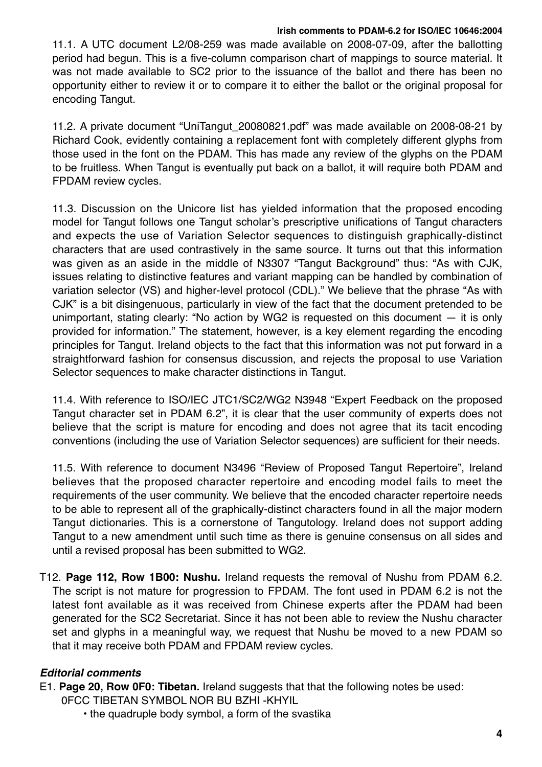## **Irish comments to PDAM-6.2 for ISO/IEC 10646:2004**

11.1. A UTC document L2/08-259 was made available on 2008-07-09, after the ballotting period had begun. This is a five-column comparison chart of mappings to source material. It was not made available to SC2 prior to the issuance of the ballot and there has been no opportunity either to review it or to compare it to either the ballot or the original proposal for encoding Tangut.

11.2. A private document "UniTangut\_20080821.pdf" was made available on 2008-08-21 by Richard Cook, evidently containing a replacement font with completely different glyphs from those used in the font on the PDAM. This has made any review of the glyphs on the PDAM to be fruitless. When Tangut is eventually put back on a ballot, it will require both PDAM and FPDAM review cycles.

11.3. Discussion on the Unicore list has yielded information that the proposed encoding model for Tangut follows one Tangut scholar's prescriptive unifications of Tangut characters and expects the use of Variation Selector sequences to distinguish graphically-distinct characters that are used contrastively in the same source. It turns out that this information was given as an aside in the middle of N3307 "Tangut Background" thus: "As with CJK, issues relating to distinctive features and variant mapping can be handled by combination of variation selector (VS) and higher-level protocol (CDL)." We believe that the phrase "As with CJK" is a bit disingenuous, particularly in view of the fact that the document pretended to be unimportant, stating clearly: "No action by WG2 is requested on this document — it is only provided for information." The statement, however, is a key element regarding the encoding principles for Tangut. Ireland objects to the fact that this information was not put forward in a straightforward fashion for consensus discussion, and rejects the proposal to use Variation Selector sequences to make character distinctions in Tangut.

11.4. With reference to ISO/IEC JTC1/SC2/WG2 N3948 "Expert Feedback on the proposed Tangut character set in PDAM 6.2", it is clear that the user community of experts does not believe that the script is mature for encoding and does not agree that its tacit encoding conventions (including the use of Variation Selector sequences) are sufficient for their needs.

11.5. With reference to document N3496 "Review of Proposed Tangut Repertoire", Ireland believes that the proposed character repertoire and encoding model fails to meet the requirements of the user community. We believe that the encoded character repertoire needs to be able to represent all of the graphically-distinct characters found in all the major modern Tangut dictionaries. This is a cornerstone of Tangutology. Ireland does not support adding Tangut to a new amendment until such time as there is genuine consensus on all sides and until a revised proposal has been submitted to WG2.

T12. **Page 112, Row 1B00: Nushu.** Ireland requests the removal of Nushu from PDAM 6.2. The script is not mature for progression to FPDAM. The font used in PDAM 6.2 is not the latest font available as it was received from Chinese experts after the PDAM had been generated for the SC2 Secretariat. Since it has not been able to review the Nushu character set and glyphs in a meaningful way, we request that Nushu be moved to a new PDAM so that it may receive both PDAM and FPDAM review cycles.

# *Editorial comments*

- E1. **Page 20, Row 0F0: Tibetan.** Ireland suggests that that the following notes be used:
	- 0FCC TIBETAN SYMBOL NOR BU BZHI -KHYIL
		- the quadruple body symbol, a form of the svastika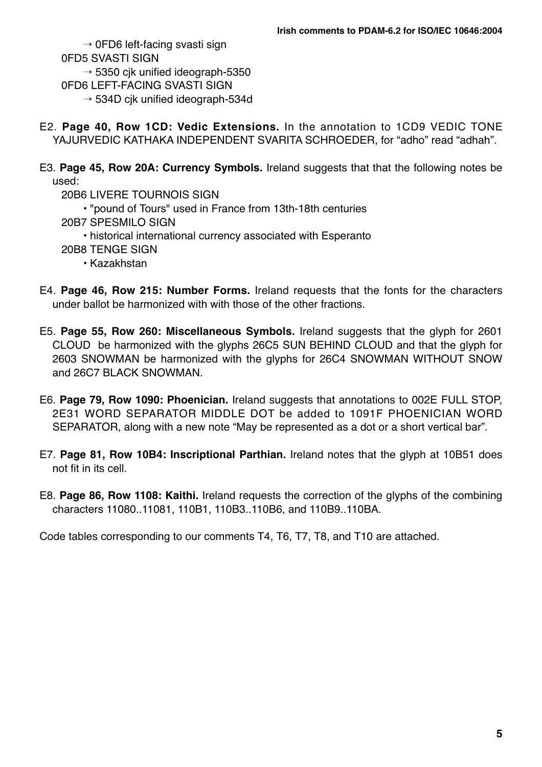$\rightarrow$  0FD6 left-facing svasti sign 0FD5 SVASTI SIGN  $\rightarrow$  5350 cik unified ideograph-5350 0FD6 LEFT-FACING SVASTI SIGN  $\rightarrow$  534D cik unified ideograph-534d

- E2. **Page 40, Row 1CD: Vedic Extensions.** In the annotation to 1CD9 VEDIC TONE YAJURVEDIC KATHAKA INDEPENDENT SVARITA SCHROEDER, for "adho" read "adhah".
- E3. **Page 45, Row 20A: Currency Symbols.** Ireland suggests that that the following notes be used:
	- 20B6 LIVERE TOURNOIS SIGN
		- "pound of Tours" used in France from 13th-18th centuries
	- 20B7 SPESMILO SIGN
		- historical international currency associated with Esperanto
	- 20B8 TENGE SIGN
		- Kazakhstan
- E4. **Page 46, Row 215: Number Forms.** Ireland requests that the fonts for the characters under ballot be harmonized with with those of the other fractions.
- E5. **Page 55, Row 260: Miscellaneous Symbols.** Ireland suggests that the glyph for 2601 CLOUD be harmonized with the glyphs 26C5 SUN BEHIND CLOUD and that the glyph for 2603 SNOWMAN be harmonized with the glyphs for 26C4 SNOWMAN WITHOUT SNOW and 26C7 BLACK SNOWMAN.
- E6. **Page 79, Row 1090: Phoenician.** Ireland suggests that annotations to 002E FULL STOP, 2E31 WORD SEPARATOR MIDDLE DOT be added to 1091F PHOENICIAN WORD SEPARATOR, along with a new note "May be represented as a dot or a short vertical bar".
- E7. **Page 81, Row 10B4: Inscriptional Parthian.** Ireland notes that the glyph at 10B51 does not fit in its cell.
- E8. **Page 86, Row 1108: Kaithi.** Ireland requests the correction of the glyphs of the combining characters 11080..11081, 110B1, 110B3..110B6, and 110B9..110BA.

Code tables corresponding to our comments T4, T6, T7, T8, and T10 are attached.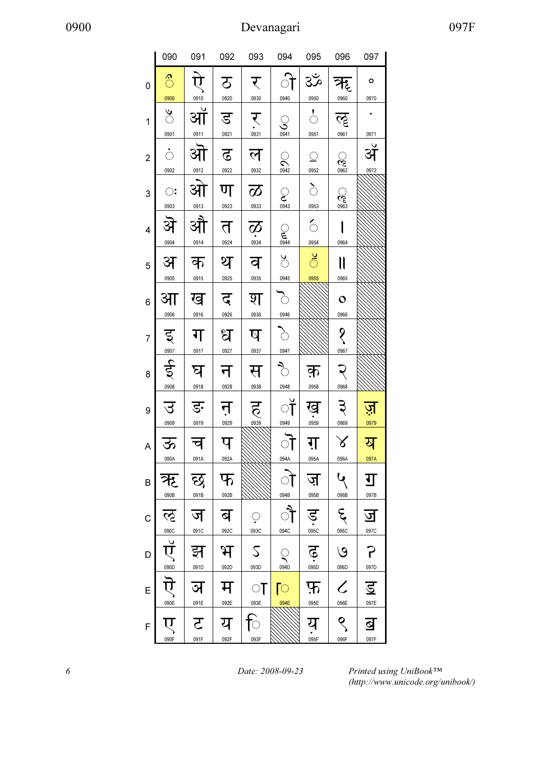|                | 090                                            | 091       | 092                   | 093                     | 094                                                                      | 095                           | 096                              | 097                     |
|----------------|------------------------------------------------|-----------|-----------------------|-------------------------|--------------------------------------------------------------------------|-------------------------------|----------------------------------|-------------------------|
| 0              | 6                                              |           | $\mathfrak{D}$        | र                       | ी                                                                        | $3\zeta$                      | ऋ                                | о                       |
|                | 0900                                           | 0910      | 0920                  | 0930                    | 0940                                                                     | 0950                          | 0960                             | 0970                    |
| 1              | $\sum_{i=1}^N$                                 | ऑ         | ड                     | र                       | ্র                                                                       | $\frac{1}{\sqrt{2}}$          | ॡ                                |                         |
|                | 0901                                           | 0911      | 0921                  | 0931                    | 0941                                                                     | 0951                          | 0961                             | 0971                    |
| $\overline{c}$ | $\hat{\mathbb{C}}$<br>0902                     | ओ<br>0912 | ∣ ढ ∣ ल<br>0922       | 0932                    | $\mathcal{O}(\mathcal{O})$<br>0942                                       | $\mathbb{C}^{\times}$<br>0952 | $\frac{1}{2}$                    | ॲ<br>0972               |
| 3              | $\bigcirc$                                     | आ         | ण                     | $\infty$                | $\begin{array}{c}\n\bullet \\ \bullet \\ \bullet \\ \hline\n\end{array}$ | े                             | 0963<br>مخ                       |                         |
|                | 0903                                           | 0913      | 0923                  | 0933                    |                                                                          | 0953                          |                                  |                         |
| $\overline{4}$ | ऄ<br>0904                                      | औ<br>0914 | त<br>0924             | $\overline{\mathbf{Q}}$ | ္မြဲ<br>0944                                                             | $\epsilon$<br>0954            | 0964                             |                         |
|                |                                                |           |                       |                         |                                                                          |                               |                                  |                         |
| 5              | अ                                              | क         | थ                     | व                       | $\sum_{i=1}^{n}$                                                         | ँ                             | $\mathsf{I}$                     |                         |
|                | 0905                                           | 0915      | 0925                  | 0935                    | 0945                                                                     | 0955                          | 0965                             |                         |
| 6              | आ                                              | ख         | द                     | श                       | 7,                                                                       |                               | $\overline{O}$                   |                         |
|                | 0906                                           | 0916      | 0926                  | 0936                    | 0946                                                                     |                               | 0966                             |                         |
| $\overline{7}$ | 5/20907                                        | ग         | ध                     | ष                       | $\sum_{i=1}^n$                                                           |                               | १                                |                         |
|                |                                                | 0917      | 0927                  | 0937                    | 0947                                                                     |                               | 0967                             |                         |
| 8              | ई                                              | घ         | न                     | स                       | ्<br>ज                                                                   | क़                            |                                  |                         |
|                | 0908                                           | 0918      | 0928                  | 0938                    | 0948                                                                     | 0958                          | 0968                             |                         |
| 9              | उ<br>0909                                      | ङ<br>0919 | न<br>0929             | ह<br>0939               | ॉ<br>0949                                                                | ख<br>0959                     | 0969                             | 0979                    |
|                |                                                |           |                       |                         |                                                                          |                               |                                  |                         |
| A              | ऊ<br>090A                                      | च<br>091A | प<br>092A             |                         | ॊ<br>094A                                                                | ग़<br>095A                    | $\boldsymbol{\lambda}$<br>096A   | य<br>097A               |
|                |                                                |           |                       |                         |                                                                          |                               |                                  |                         |
| B              | ऋ<br>090B                                      | छ<br>091B | फ<br>092B             |                         | $\bigcirc$<br>094B                                                       | ज़<br>095B                    | 096B                             | ग<br>097B               |
|                |                                                |           |                       |                         |                                                                          |                               |                                  |                         |
| $\mathsf C$    | ॡ                                              | ज         | ब                     | $\langle \cdot \rangle$ | ौ                                                                        | $\sum_{0.95C}$                | ६<br>096C                        | <u>ज</u><br>097C        |
|                |                                                | 091C      | 092C                  | 093C                    | 094C                                                                     |                               |                                  |                         |
| D              | $\overbrace{\mathbf{u}}^{\text{onoc}}$<br>090D | झ<br>091D | $\mathcal{H}$<br>092D | $\mathcal{L}$<br>093D   | $\bigcirc$<br>094D                                                       | $\ddot{\mathbf{e}}$<br>095D   | $\mathcal{O}$<br>096D            | P<br>097D               |
|                |                                                |           |                       |                         |                                                                          |                               |                                  |                         |
| E              | ऎ<br>090E                                      | ञ<br>091E | म                     | ा                       | ि<br>094E                                                                | फ़<br>095E                    | $\overline{\mathcal{C}}$<br>096E | <u>ड</u><br>097E        |
|                |                                                |           | 092E                  | 093E                    |                                                                          |                               |                                  |                         |
| F              | ए<br>090F                                      | <u>र</u>  | य                     | ि                       |                                                                          | यु<br>095F                    | ९                                | $\overline{\mathbf{S}}$ |
|                |                                                | 091F      | 092F                  | 093F                    |                                                                          |                               | 096F                             | 097F                    |
|                |                                                |           |                       |                         |                                                                          |                               |                                  |                         |

6 Date: 2008-09-23

Printed using UniBook™ (http://www.unicode.org/unibook/)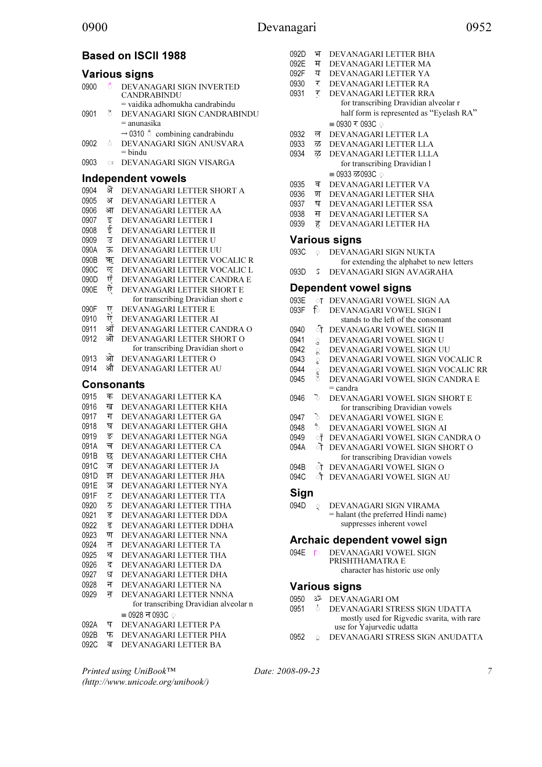# Based on ISCII 1988

#### Various signs

| 0900 | 6            | DEVANAGARI SIGN INVERTED                         |
|------|--------------|--------------------------------------------------|
|      |              | <b>CANDRABINDU</b>                               |
|      |              | $=$ vaidika adhomukha candrabindu                |
| 0901 | 8            | DEVANAGARI SIGN CANDRABINDU                      |
|      |              | $=$ anunasika                                    |
|      |              | $\rightarrow$ 0310 $\circ$ combining candrabindu |
| 0902 | Ò.           | DEVANAGARI SIGN ANUSVARA                         |
|      |              | $=$ bindu                                        |
| 0903 | $\bigcirc$ : | DEVANAGARI SIGN VISARGA                          |
|      |              |                                                  |

## Independent vowels

| 0904 | ऄ  | DEVANAGARI LETTER SHORT A          |
|------|----|------------------------------------|
| 0905 | अ  | DEVANAGARI LETTER A                |
| 0906 | आ  | DEVANAGARI LETTER AA               |
| 0907 | इ  | <b>DEVANAGARI LETTER I</b>         |
| 0908 | ई  | DEVANAGARI LETTER II               |
| 0909 | उ  | DEVANAGARI LETTER U                |
| 090A | ऊ  | DEVANAGARI LETTER UU               |
| 090B | ऋ  | DEVANAGARI LETTER VOCALIC R        |
| 090C | ॡ  | DEVANAGARI LETTER VOCALIC L        |
| 090D | ऍ  | DEVANAGARI LETTER CANDRA E         |
| 090E | ऎं | DEVANAGARI LETTER SHORT E          |
|      |    | for transcribing Dravidian short e |
| 090F | ए  | DEVANAGARI LETTER E                |
| 0910 | ਹੇ | DEVANAGARI LETTER AI               |
| 0911 | ऑ  | DEVANAGARI LETTER CANDRA O         |
| 0912 | ओ  | DEVANAGARI LETTER SHORT O          |
|      |    | for transcribing Dravidian short o |
| 0913 | ओ  | DEVANAGARI LETTER O                |
| 0914 | औ  | DEVANAGARI LETTER AU               |
|      |    | <b>Consonants</b>                  |
| 0915 | क  | DEVANAGARI LETTER KA               |
| 0916 | ख  | DEVANAGARI LETTER KHA              |
| 0917 | ग  | DEVANAGARI LETTER GA               |
| 0918 | घ  | DEVANAGARI LETTER GHA              |
| 0919 | ङ  | DEVANAGARI LETTER NGA              |
| 091A | च  | DEVANAGARI LETTER CA               |
| 091B | छ  | DEVANAGARI LETTER CHA              |
| 091C | ज  | DEVANAGARI LETTER JA               |
| 091D | झ  | DEVANAGARI LETTER JHA              |
| 091E | ञ  | DEVANAGARI LETTER NYA              |
| 091F | ट  | DEVANAGARI LETTER TTA              |
| 0920 | ठ  | DEVANAGARI LETTER TTHA             |
| 0921 | ड  | DEVANAGARI LETTER DDA              |
| 0922 | ढ  | DEVANAGARI LETTER DDHA             |
| 0923 | ण  | DEVANAGARI LETTER NNA              |
| 0924 | त  | DEVANAGARI LETTER TA               |
| 0925 | थ  | DEVANAGARI LETTER THA              |
| 0926 | द  | DEVANAGARI LETTER DA               |
| 0927 | ध  | DEVANAGARI LETTER DHA              |
|      |    |                                    |

- 0928 न DEVANAGARI LETTER NA<br>0929 न DEVANAGARI LETTER NN न DEVANAGARI LETTER NNNA for transcribing Dravidian alveolar n  $= 0928$  न 093C ़
- 092A प DEVANAGARI LETTER PA
- 092B फ DEVANAGARI LETTER PHA<br>092C ब DEVANAGARI LETTER BA
- DEVANAGARI LETTER BA
- 092D भ DEVANAGARI LETTER BHA<br>092E म DEVANAGARI LETTER MA 092E म DEVANAGARI LETTER MA<br>092F य DEVANAGARI LETTER YA 092F य DEVANAGARI LETTER YA<br>0930 र DEVANAGARI LETTER RA 0930 र DEVANAGARI LETTER RA<br>0931 र DEVANAGARI LETTER RR. DEVANAGARI LETTER RRA for transcribing Dravidian alveolar r half form is represented as "Eyelash RA"  $= 0930 \times 093C$  . 0932 ल DEVANAGARI LETTER LA<br>0933 ळ DEVANAGARI LETTER LL 0933 ळ DEVANAGARI LETTER LLA<br>0934 ळ DEVANAGARI LETTER LLL DEVANAGARI LETTER LLLA
	- for transcribing Dravidian l  $= 0933 \ \overline{\sigma} 093C$  .
- 0935 व DEVANAGARI LETTER VA<br>0936 श DEVANAGARI LETTER SH
- 0936 श DEVANAGARI LETTER SHA<br>0937 ष DEVANAGARI LETTER SSA
- 0937 ष DEVANAGARI LETTER SSA<br>0938 स DEVANAGARI LETTER SA
- 0938 स DEVANAGARI LETTER SA<br>0939 ह DEVANAGARI LETTER HA
- DEVANAGARI LETTER HA

#### Various signs

093C  $\odot$  DEVANAGARI SIGN NUKTA for extending the alphabet to new letters 093D ऽ DEVANAGARI SIGN AVAGRAHA

#### Dependent vowel signs

| 093E | ा             | DEVANAGARI VOWEL SIGN AA            |
|------|---------------|-------------------------------------|
| 093F | ि             | DEVANAGARI VOWEL SIGN I             |
|      |               | stands to the left of the consonant |
| 0940 | ी             | DEVANAGARI VOWEL SIGN II            |
| 0941 | $\mathcal{S}$ | DEVANAGARI VOWEL SIGN U             |
| 0942 | $\mathbb{R}$  | DEVANAGARI VOWEL SIGN UU            |
| 0943 | g             | DEVANAGARI VOWEL SIGN VOCALIC R     |
| 0944 | ၟ             | DEVANAGARI VOWEL SIGN VOCALIC RR    |
| 0945 |               | DEVANAGARI VOWEL SIGN CANDRA E      |
|      |               | = candra                            |
| 0946 | ১             | DEVANAGARI VOWEL SIGN SHORT E       |
|      |               | for transcribing Dravidian vowels   |
| 0947 | ∂             | DEVANAGARI VOWEL SIGN E             |
| 0948 | ₹             | DEVANAGARI VOWEL SIGN AI            |
| 0949 | ॉ             | DEVANAGARI VOWEL SIGN CANDRA O      |
| 094A | ॊ             | DEVANAGARI VOWEL SIGN SHORT O       |
|      |               | for transcribing Dravidian vowels   |
| 094B | ो             | DEVANAGARI VOWEL SIGN O             |
| 094C | ौ             | DEVANAGARI VOWEL SIGN AU            |
| Sıgn |               |                                     |

094D  $\qquad \qquad \circ \qquad$  DEVANAGARI SIGN VIRAMA = halant (the preferred Hindi name) suppresses inherent vowel

#### Archaic dependent vowel sign

094E **DEVANAGARI VOWEL SIGN** PRISHTHAMATRA E character has historic use only

## Various signs

- 0950  $\overset{\circ}{\sim}$  DEVANAGARI OM<br>0951  $\overset{!}{\circ}$  DEVANAGARI STR
	- DEVANAGARI STRESS SIGN UDATTA mostly used for Rigvedic svarita, with rare use for Yajurvedic udatta
- 0952 **Q** DEVANAGARI STRESS SIGN ANUDATTA

Printed using UniBook™ (http://www.unicode.org/unibook/) Date: 2008-09-23 7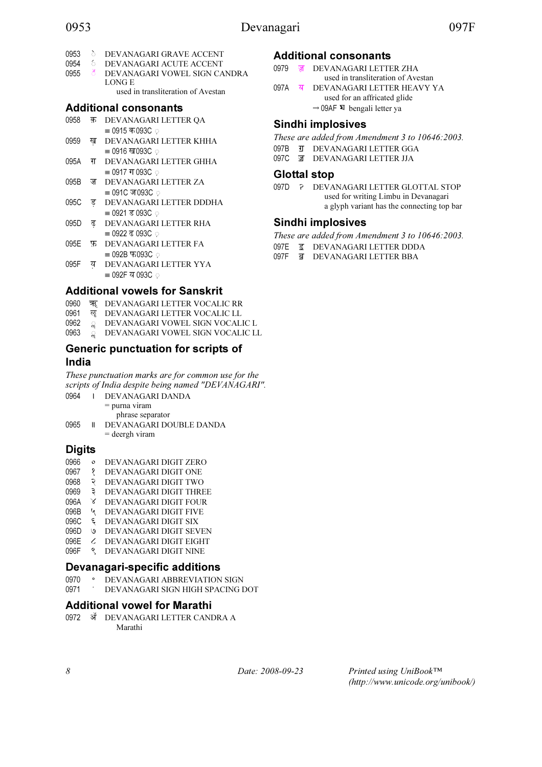# 0953 Devanagari 097F

- 
- <sup>0953</sup> \$॓ DEVANAGARI GRAVE ACCENT
- <sup>0954</sup> \$॔ DEVANAGARI ACUTE ACCENT DEVANAGARI VOWEL SIGN CANDRA LONG E used in transliteration of Avestan

Additional consonants

- 0958 क़ DEVANAGARI LETTER QA  $= 0915$  क $093C$  ़
- 0959 ख़ DEVANAGARI LETTER KHHA  $\equiv$  0916 ख093C  $\odot$
- 095A ग़ DEVANAGARI LETTER GHHA  $= 0917$  ग 093C  $\circ$
- 095B ज़ DEVANAGARI LETTER ZA  $=$  091C ज093C ़
- 095C ड़ DEVANAGARI LETTER DDDHA  $= 0921 \equiv 093C$  ਼
- 095D ढ़ DEVANAGARI LETTER RHA  $= 0922 \times 0.030$
- 095E फ़ DEVANAGARI LETTER FA  $\equiv$  092B  $\overline{6}$  093C  $\phi$
- 095F य़ DEVANAGARI LETTER YYA  $\equiv$  092F य 093C  $\odot$

# Additional vowels for Sanskrit

- 0960 ॠ DEVANAGARI LETTER VOCALIC RR<br>0961 ॡ DEVANAGARI LETTER VOCALIC LL
- 
- 0961 ॡ DEVANAGARI LETTER VOCALIC LL<br>0962 ॢ DEVANAGARI VOWEL SIGN VOCAL 0962 & DEVANAGARI VOWEL SIGN VOCALIC L<br>0963 © DEVANAGARI VOWEL SIGN VOCALIC L
- $\sum_{n=0}^{\infty}$  DEVANAGARI VOWEL SIGN VOCALIC LL

# Generic punctuation for scripts of India

These punctuation marks are for common use for the scripts of India despite being named "DEVANAGARI".

| 0964 | $\mathbf{L}$ | - DEVANAGARI DANDA      |
|------|--------------|-------------------------|
|      |              | $=$ purna viram         |
|      |              | phrase separator        |
| 0965 | Ш            | DEVANAGARI DOUBLE DANDA |
|      |              | $=$ deergh viram        |

# **Digits**

- 0966 ० DEVANAGARI DIGIT ZERO
- 0967 १ DEVANAGARI DIGIT ONE
- 0968 २ DEVANAGARI DIGIT TWO
- 0969 ३ DEVANAGARI DIGIT THREE
- 096A ४ DEVANAGARI DIGIT FOUR
- 096B ५ DEVANAGARI DIGIT FIVE
- 096C ६ DEVANAGARI DIGIT SIX
- 096D ७ DEVANAGARI DIGIT SEVEN
- 096E ८ DEVANAGARI DIGIT EIGHT 096F ९ DEVANAGARI DIGIT NINE
- 

# Devanagari-specific additions

0970 ° DEVANAGARI ABBREVIATION SIGN<br>0971 DEVANAGARI SIGN HIGH SPACING I DEVANAGARI SIGN HIGH SPACING DOT

# Additional vowel for Marathi

0972 ॲ DEVANAGARI LETTER CANDRA A Marathi

# Additional consonants

- 0979 ॹ DEVANAGARI LETTER ZHA used in transliteration of Avestan
- 097A ॺ DEVANAGARI LETTER HEAVY YA used for an affricated glide
	- $\rightarrow$  09AF  $\overline{x}$  bengali letter ya

# Sindhi implosives

- These are added from Amendment 3 to 10646:2003.
- 097B **可** DEVANAGARI LETTER GGA
- 097C ॼ DEVANAGARI LETTER JJA

# Glottal stop

097D ? DEVANAGARI LETTER GLOTTAL STOP used for writing Limbu in Devanagari a glyph variant has the connecting top bar

# Sindhi implosives

- These are added from Amendment 3 to 10646:2003.
- 097E  $\overline{g}$  DEVANAGARI LETTER DDDA<br>097E  $\overline{g}$  DEVANAGARI LETTER BBA
	- ब DEVANAGARI LETTER BBA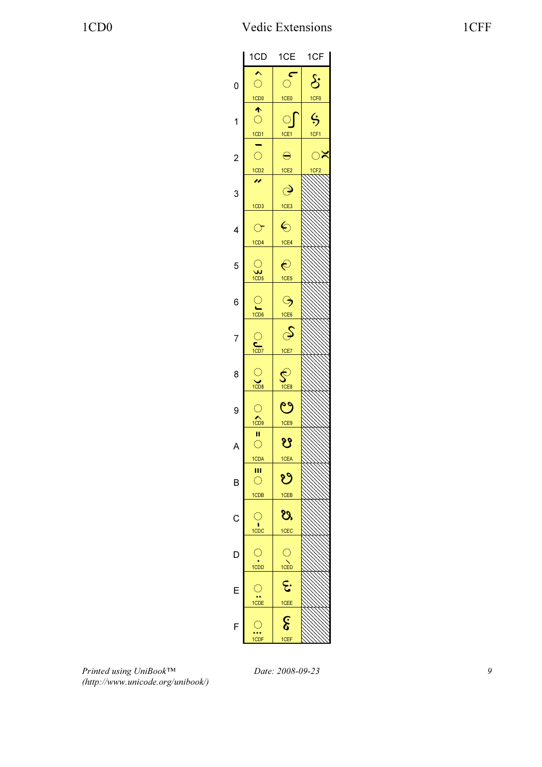|                | 1CD                          | 1CE                             | 1CF                 |
|----------------|------------------------------|---------------------------------|---------------------|
|                |                              | c                               |                     |
| 0              | $\bigcirc$                   | $\hat{\mathcal{O}}$             | $\delta$            |
|                | 1CD0                         | 1CE <sub>0</sub>                | 1CF <sub>0</sub>    |
|                | 个                            |                                 |                     |
| 1              | $\bigcirc$                   | $\bigcirc$                      | $\ddot{\bm{\zeta}}$ |
|                | <u>1CD1</u>                  | 1CE1                            | 1CF1                |
|                |                              |                                 |                     |
|                | $\bigcirc$                   | $\ominus$                       | ್                   |
| $\overline{c}$ |                              |                                 |                     |
|                | 1CD2<br>n                    | 1CE <sub>2</sub>                | 1CF <sub>2</sub>    |
|                |                              | $\hat{\mathcal{O}}$             |                     |
| 3              |                              |                                 |                     |
|                | 1CD <sub>3</sub>             | 1CE3                            |                     |
|                |                              |                                 |                     |
| 4              | $\bigcirc$                   | $\overline{\mathbf{c}}$         |                     |
|                | 1CD4                         | 1CE4                            |                     |
|                |                              |                                 |                     |
| 5              | $\bigcirc$                   | $\hat{\in}$                     |                     |
|                | $\frac{1}{1CD5}$             |                                 |                     |
|                |                              | 1CE5                            |                     |
|                |                              |                                 |                     |
| 6              |                              | ್ರ                              |                     |
|                | $\frac{1}{1CD6}$             | 1CE6                            |                     |
|                |                              |                                 |                     |
| 7              |                              | S                               |                     |
|                | $C$ <sub>1CD7</sub>          |                                 |                     |
|                |                              | 1CE7                            |                     |
|                |                              |                                 |                     |
| 8              |                              |                                 |                     |
|                | $\frac{1}{1008}$             | $\overline{\mathsf{S}}$<br>10E8 |                     |
|                |                              |                                 |                     |
| 9              | $\langle \rangle$            | ಲ                               |                     |
|                | $\bigwedge$                  |                                 |                     |
|                |                              | 1CE9                            |                     |
|                | П<br>$\overline{\mathbb{C}}$ | $\overline{\mathbf{S}}$         |                     |
| A              |                              |                                 |                     |
|                | 1CDA                         | 1CEA                            |                     |
|                | Ш                            |                                 |                     |
| B              | $\bigcirc$                   | ಲಿ                              |                     |
|                | 1CDB                         | 1CEB                            |                     |
|                |                              |                                 |                     |
|                | $\bigcirc$                   | ೮ಿ                              |                     |
| C              |                              |                                 |                     |
|                | $\frac{1}{1 \text{CDC}}$     | 1CEC                            |                     |
|                |                              |                                 |                     |
| D              | $\bigcirc$                   |                                 |                     |
|                | $\overrightarrow{1CDD}$      |                                 |                     |
|                |                              | $\bigcirc$<br>1CED              |                     |
| E              |                              | $\epsilon$                      |                     |
|                | $\frac{1}{1}$                |                                 |                     |
|                |                              | 1CEE                            |                     |
|                |                              | $\widehat{\mathcal{E}}$         |                     |
| F              | $\bigcirc$                   |                                 |                     |
|                | 1CDF                         | 1CEF                            |                     |
|                |                              |                                 |                     |

Printed using UniBook™ (http://www.unicode.org/unibook/)

Date: 2008-09-23 9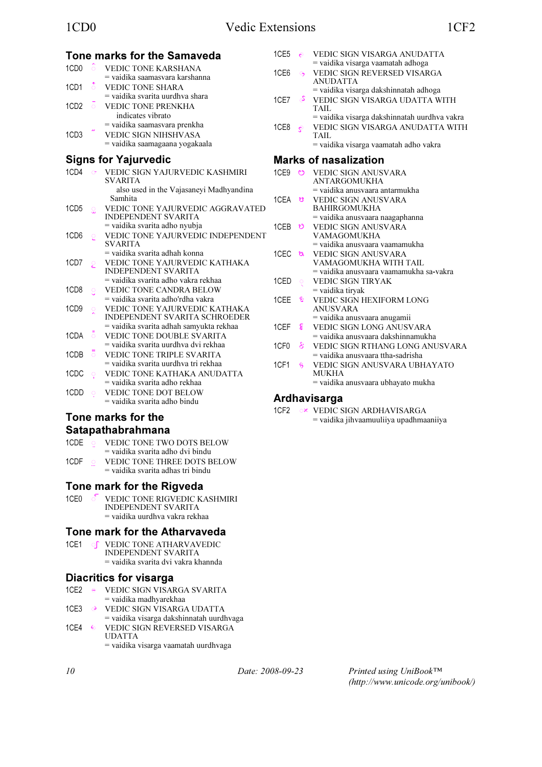|                                  | Tone marks for the Samaveda                                 | 1CE5             | $\epsilon$     | VEDIC SIGN VISARGA ANUDATTA                                      |
|----------------------------------|-------------------------------------------------------------|------------------|----------------|------------------------------------------------------------------|
| 1CD <sub>0</sub><br>-ô           | <b>VEDIC TONE KARSHANA</b>                                  |                  |                | = vaidika visarga vaamatah adhoga                                |
|                                  | = vaidika saamasvara karshanna                              | 1CE <sub>6</sub> | $\Theta$       | VEDIC SIGN REVERSED VISARGA<br><b>ANUDATTA</b>                   |
| $\delta$<br>1CD1                 | <b>VEDIC TONE SHARA</b>                                     |                  |                | = vaidika visarga dakshinnatah adhoga                            |
|                                  | $=$ vaidika svarita uurdhva shara                           | 1CE7             | ⇔              | VEDIC SIGN VISARGA UDATTA WITH                                   |
| 1CD <sub>2</sub><br>$\circ$      | <b>VEDIC TONE PRENKHA</b>                                   |                  |                | TAIL                                                             |
|                                  | indicates vibrato                                           |                  |                | = vaidika visarga dakshinnatah uurdhva vakra                     |
|                                  | = vaidika saamasvara prenkha                                | 1CE8             | $\epsilon$     | VEDIC SIGN VISARGA ANUDATTA WITH                                 |
| 1CD <sub>3</sub>                 | VEDIC SIGN NIHSHVASA                                        |                  |                | TAIL                                                             |
|                                  | = vaidika saamagaana yogakaala                              |                  |                | = vaidika visarga vaamatah adho vakra                            |
|                                  |                                                             |                  |                | <b>Marks of nasalization</b>                                     |
|                                  | <b>Signs for Yajurvedic</b>                                 |                  |                |                                                                  |
| 1CD4<br>$\sigma$                 | VEDIC SIGN YAJURVEDIC KASHMIRI<br><b>SVARITA</b>            |                  |                | 1CE9 © VEDIC SIGN ANUSVARA<br><b>ANTARGOMUKHA</b>                |
|                                  | also used in the Vajasaneyi Madhyandina                     |                  |                | = vaidika anusvaara antarmukha                                   |
|                                  | Samhita                                                     | 1CEA <b>গু</b>   |                | <b>VEDIC SIGN ANUSVARA</b>                                       |
| 1CD <sub>5</sub><br>$\Omega$     | VEDIC TONE YAJURVEDIC AGGRAVATED                            |                  |                | <b>BAHIRGOMUKHA</b>                                              |
|                                  | <b>INDEPENDENT SVARITA</b>                                  |                  |                | $=$ vaidika anusvaara naagaphanna                                |
|                                  | = vaidika svarita adho nyubja                               | 1CEB             | ಿ              | VEDIC SIGN ANUSVARA                                              |
| 1CD <sub>6</sub><br>$\circ$      | VEDIC TONE YAJURVEDIC INDEPENDENT                           |                  |                | <b>VAMAGOMUKHA</b>                                               |
|                                  | <b>SVARITA</b>                                              |                  |                | = vaidika anusvaara vaamamukha                                   |
|                                  | = vaidika svarita adhah konna                               | 1CEC <u>ଅ</u>    |                | VEDIC SIGN ANUSVARA                                              |
| 1CD7<br>$\overline{\mathcal{E}}$ | VEDIC TONE YAJURVEDIC KATHAKA<br><b>INDEPENDENT SVARITA</b> |                  |                | VAMAGOMUKHA WITH TAIL<br>= vaidika anusvaara vaamamukha sa-vakra |
|                                  | = vaidika svarita adho vakra rekhaa                         | 1CED             |                | VEDIC SIGN TIRYAK                                                |
| 1CD <sub>8</sub><br>$\circ$      | VEDIC TONE CANDRA BELOW                                     |                  | $\circ$        | $=$ vaidika tiryak                                               |
|                                  | = vaidika svarita adho'rdha vakra                           | 1CEE             | ್ಚ             | VEDIC SIGN HEXIFORM LONG                                         |
| 1CD <sub>9</sub><br>$\circ$      | VEDIC TONE YAJURVEDIC KATHAKA                               |                  |                | <b>ANUSVARA</b>                                                  |
|                                  | INDEPENDENT SVARITA SCHROEDER                               |                  |                | = vaidika anusvaara anugamii                                     |
|                                  | = vaidika svarita adhah samyukta rekhaa                     | 1CEF             | ୍ଟ             | VEDIC SIGN LONG ANUSVARA                                         |
| 1CDA<br>$\circ$                  | <b>VEDIC TONE DOUBLE SVARITA</b>                            |                  |                | = vaidika anusvaara dakshinnamukha                               |
|                                  | = vaidika svarita uurdhva dvi rekhaa                        | 1CF <sub>0</sub> | કે             | VEDIC SIGN RTHANG LONG ANUSVARA                                  |
| $\ddot{\circ}$<br>1CDB           | VEDIC TONE TRIPLE SVARITA                                   |                  |                | $=$ vaidika anusvaara ttha-sadrisha                              |
|                                  | = vaidika svarita uurdhva tri rekhaa                        | 1CF1             | $\mathfrak{s}$ | VEDIC SIGN ANUSVARA UBHAYATO                                     |
| 1CDC<br>$\circ$                  | VEDIC TONE KATHAKA ANUDATTA                                 |                  |                | <b>MUKHA</b>                                                     |
|                                  | = vaidika svarita adho rekhaa                               |                  |                | = vaidika anusvaara ubhayato mukha                               |
| 1CDD<br>$\circ$                  | <b>VEDIC TONE DOT BELOW</b>                                 |                  |                |                                                                  |
|                                  | $=$ vaidika svarita adho bindu                              |                  |                | <b>Ardhavisarga</b>                                              |
|                                  |                                                             | 1CF2             |                | ○* VEDIC SIGN ARDHAVISARGA                                       |

## Tone marks for the Satapathabrahmana

| 1CDE o |         | <b>VEDIC TONE TWO DOTS BELOW</b>    |
|--------|---------|-------------------------------------|
|        |         | $=$ vaidika svarita adho dvi bindu  |
| 1CDF   | $\circ$ | <b>VEDIC TONE THREE DOTS BELOW</b>  |
|        |         | $=$ vaidika svarita adhas tri bindu |

## Tone mark for the Rigveda

1CE0 S VEDIC TONE RIGVEDIC KASHMIRI<br>INDEPENDENT SVARITA = vaidika uurdhva vakra rekhaa

## Tone mark for the Atharvaveda

1CE1 \$᳡ VEDIC TONE ATHARVAVEDIC INDEPENDENT SVARITA = vaidika svarita dvi vakra khannda

## Diacritics for visarga

| 1CE2 | ⊖ VEDIC SIGN VISARGA SVARITA             |
|------|------------------------------------------|
|      | $=$ vaidika madhyarekhaa                 |
|      | 1CE3 → VEDIC SIGN VISARGA UDATTA         |
|      | = vaidika visarga dakshinnatah uurdhvaga |
|      | 1CE4 6 VEDIC SIGN REVERSED VISARGA       |
|      | <b>UDATTA</b>                            |

= vaidika visarga vaamatah uurdhvaga

10 Date: 2008-09-23

Printed using UniBook™ (http://www.unicode.org/unibook/)

= vaidika jihvaamuuliiya upadhmaaniiya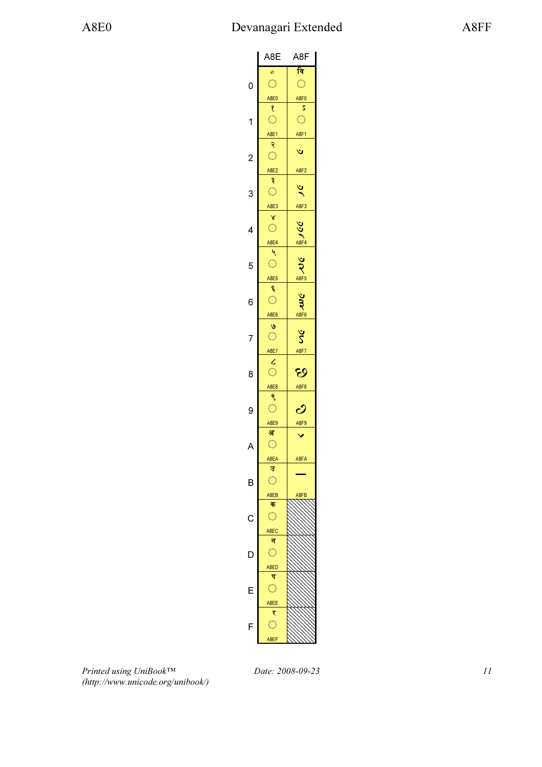|                | A8E                       | A8F                       |
|----------------|---------------------------|---------------------------|
|                | $\circ$                   | वि                        |
|                | $\bigcirc$                | Ó                         |
| 0              |                           |                           |
|                | A8E0                      | A8F0                      |
|                | १                         | S                         |
| 1              | $\hat{\mathbb{C}}$        | $\hat{\mathcal{C}}$       |
|                | A8E1                      | A8F1                      |
|                | २                         |                           |
|                | $\bigcirc$                | Ý                         |
| $\overline{c}$ |                           |                           |
|                | A8E2                      | A8F2                      |
|                | ३                         |                           |
| 3              | $\mathbb{C}^2$            | ৼ                         |
|                |                           |                           |
|                | A8E3                      | <b>A8F3</b>               |
|                | X                         |                           |
| 4              | Ó                         |                           |
|                | A8E4                      | $\frac{25}{100}$          |
|                | $\mathbf{Q}$              |                           |
| 5              | $\hat{\mathcal{L}}$       | $\widetilde{\mathcal{X}}$ |
|                |                           |                           |
|                | A8E5                      | A8F5                      |
|                | ۶                         |                           |
| 6              | $\mathbb{C}^2$            | Jmc                       |
|                | A8E6                      | A8F6                      |
|                |                           |                           |
|                | $\frac{8}{2}$             | $\breve{\mathsf{s}}$      |
| 7              |                           |                           |
|                | A8E7                      | A8F7                      |
|                | $\frac{c}{\circ}$         |                           |
| 8              |                           | છ                         |
|                |                           | A8F8                      |
|                | $rac{ABE8}{9}$            |                           |
|                | $\hat{\mathbb{C}}$        |                           |
| 9              |                           | ပ                         |
|                | A8E9                      | A8F9                      |
|                | अ                         |                           |
| A              | Ó                         |                           |
|                |                           | A8FA                      |
|                | A8EA<br>ਤ                 |                           |
|                |                           |                           |
| B              | $\bigcirc$                |                           |
|                | A8EB                      | 8FB                       |
|                | क                         |                           |
| C              | Ó                         |                           |
|                |                           |                           |
|                | A8EC<br>न                 |                           |
|                |                           |                           |
| D              | Ö                         |                           |
|                | A <sub>8</sub> ED         |                           |
|                | प                         |                           |
| F              | O                         |                           |
|                |                           |                           |
|                | A8EE                      |                           |
|                | ₹                         |                           |
| F              | $\mathbb{C}^{\mathbb{Z}}$ |                           |
|                | A8EF                      |                           |
|                |                           |                           |
|                |                           |                           |

Printed using UniBook™ (http://www.unicode.org/unibook/)

Date: 2008-09-23 11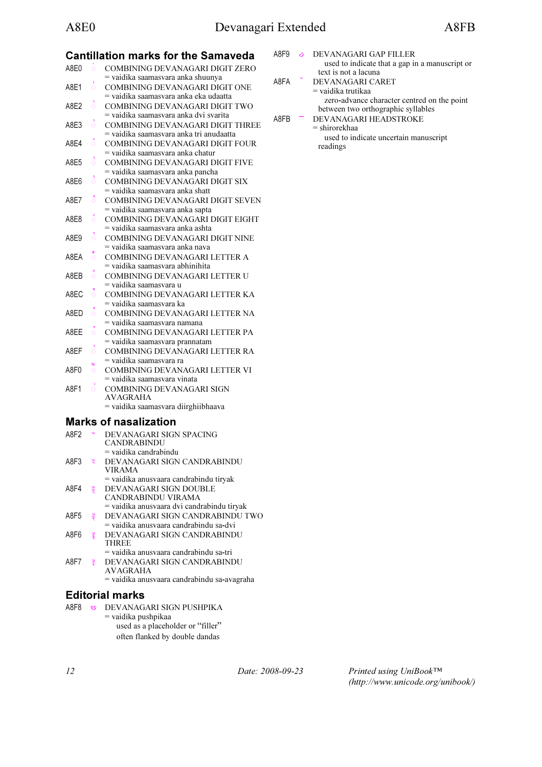# Cantillation marks for the Samaveda

| A8F0             | ö       | COMBINING DEVANAGARI DIGIT ZERO                                     |
|------------------|---------|---------------------------------------------------------------------|
| A8E1             | ó       | = vaidika saamasvara anka shuunya<br>COMBINING DEVANAGARI DIGIT ONE |
|                  |         | = vaidika saamasvara anka eka udaatta                               |
| A8F2             | ै       | COMBINING DEVANAGARI DIGIT TWO                                      |
|                  |         | = vaidika saamasvara anka dvi svarita                               |
| A8E3             | ំ       | COMBINING DEVANAGARI DIGIT THREE                                    |
|                  |         | = vaidika saamasvara anka tri anudaatta                             |
| A8F4             | ँ       | COMBINING DEVANAGARI DIGIT FOUR                                     |
|                  |         | = vaidika saamasvara anka chatur                                    |
| A8E5             | ै       | <b>COMBINING DEVANAGARI DIGIT FIVE</b>                              |
|                  |         | = vaidika saamasvara anka pancha                                    |
| A8F6             | ó       | COMBINING DEVANAGARI DIGIT SIX                                      |
|                  |         | = vaidika saamasvara anka shatt                                     |
| A8E7             | ៓       | COMBINING DEVANAGARI DIGIT SEVEN                                    |
|                  |         | = vaidika saamasvara anka sapta                                     |
| A8F8             | ៍       | COMBINING DEVANAGARI DIGIT EIGHT                                    |
|                  |         | = vaidika saamasvara anka ashta                                     |
| A8E9             | ै       | COMBINING DEVANAGARI DIGIT NINE                                     |
|                  |         | = vaidika saamasvara anka nava                                      |
| A8FA             | ö       | COMBINING DEVANAGARI LETTER A                                       |
|                  |         | = vaidika saamasvara abhinihita                                     |
| A8FB             | ö       | COMBINING DEVANAGARI LETTER U                                       |
|                  |         | = vaidika saamasvara u                                              |
| A8FC             | ö       | COMBINING DEVANAGARI LETTER KA                                      |
|                  |         | = vaidika saamasvara ka                                             |
| A8FD             | ó       | COMBINING DEVANAGARI LETTER NA                                      |
|                  |         | = vaidika saamasvara namana                                         |
| A8FF             | Ō       | COMBINING DEVANAGARI LETTER PA                                      |
|                  |         | = vaidika saamasvara prannatam                                      |
| A8EF             | ö       | COMBINING DEVANAGARI LETTER RA                                      |
|                  | बि      | = vaidika saamasvara ra                                             |
| A8F <sub>0</sub> | $\circ$ | COMBINING DEVANAGARI LETTER VI                                      |
|                  |         | = vaidika saamasvara vinata                                         |
| A8F1             | ័       | COMBINING DEVANAGARI SIGN                                           |
|                  |         | <b>AVAGRAHA</b>                                                     |
|                  |         | = vaidika saamasvara diirghiibhaava                                 |
|                  |         | <b>Marks of nasalization</b>                                        |
|                  |         |                                                                     |

| A8F <sub>2</sub> |                      | DEVANAGARI SIGN SPACING<br>CANDRABINDU      |
|------------------|----------------------|---------------------------------------------|
|                  |                      | $=$ vaidika candrabindu                     |
| A8F3             | $\tilde{\mathbf{z}}$ | DEVANAGARI SIGN CANDRABINDU                 |
|                  |                      | <b>VIRAMA</b>                               |
|                  |                      | = vaidika anusvaara candrabindu tiryak      |
| A8F4             | νņ.                  | DEVANAGARI SIGN DOUBLE                      |
|                  |                      | CANDRABINDU VIRAMA                          |
|                  |                      | = vaidika anusvaara dvi candrabindu tiryak  |
| A8F5             | उँ                   | DEVANAGARI SIGN CANDRABINDU TWO             |
|                  |                      | = vaidika anusyaara candrabindu sa-dvi      |
| A8F6             | š                    | DEVANAGARI SIGN CANDRABINDU                 |
|                  |                      | <b>THREE</b>                                |
|                  |                      | = vaidika anusvaara candrabindu sa-tri      |
| A8F7             | $\frac{1}{2}$        | DEVANAGARI SIGN CANDRABINDU                 |
|                  |                      | <b>AVAGRAHA</b>                             |
|                  |                      | = vaidika anusvaara candrabindu sa-avagraha |

## Editorial marks

| A8F8 | -99 | DEVANAGARI SIGN PUSHPIKA          |
|------|-----|-----------------------------------|
|      |     | $=$ vaidika pushpikaa             |
|      |     | used as a placeholder or "filler" |
|      |     | often flanked by double dandas    |

- A8F9 **&** DEVANAGARI GAP FILLER used to indicate that a gap in a manuscript or text is not a lacuna A8FA DEVANAGARI CARET
	- = vaidika trutikaa zero-advance character centred on the point between two orthographic syllables
- A8FB DEVANAGARI HEADSTROKE = shirorekhaa used to indicate uncertain manuscript readings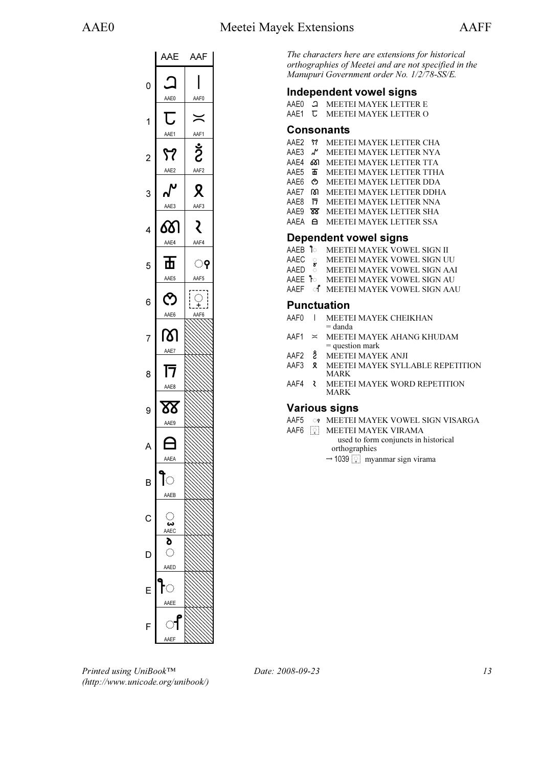

The characters here are extensions for historical orthographies of Meetei and are not specified in the Manupuri Government order No. 1/2/78-SS/E.

#### Independent vowel signs

- AAE0 <sup>2</sup> MEETEI MAYEK LETTER E
- AAE1 **U** MEETEI MAYEK LETTER O

#### Consonants

- AAE2 *M* MEETEI MAYEK LETTER CHA<br>AAE3 *N* MEETEI MAYEK LETTER NVA
- AAE3 J MEETEI MAYEK LETTER NYA
- AAE4 661 MEETEI MAYEK LETTER TTA<br>AAE5 To MEETEI MAYEK LETTER TTH.
- MEETEI MAYEK LETTER TTHA AAE6  $\circ$  MEETEI MAYEK LETTER DDA
- AAE7 6 MEETEI MAYEK LETTER DDHA
- AAE8 **h** MEETEI MAYEK LETTER NNA
- AAE9 **88** MEETEI MAYEK LETTER SHA
- AAEA **A** MEETEI MAYEK LETTER SSA

#### Dependent vowel signs

- AAEB **1** MEETEI MAYEK VOWEL SIGN II
- AAEC **8** MEETEI MAYEK VOWEL SIGN UU
- AAED  $\degree$  MEETEI MAYEK VOWEL SIGN AAI
- AAEE **1** MEETEI MAYEK VOWEL SIGN AU
- AAEF of MEETEI MAYEK VOWEL SIGN AAU

#### Punctuation

- AAF0 | MEETEI MAYEK CHEIKHAN = danda
- $AAF1 \approx MEETEI MAYEK AHANG KHUDAM$ = question mark
- AAF2 Ž MEETEI MAYEK ANJI<br>AAF3 X MEETEI MAYEK SYLI
- MEETEI MAYEK SYLLABLE REPETITION MARK
- AAF4 **WEETEI MAYEK WORD REPETITION** MARK

## Various signs

- AAF5 \$ꫵ MEETEI MAYEK VOWEL SIGN VISARGA
- AAF6 <u>Q</u> MEETEI MAYEK VIRAMA used to form conjuncts in historical orthographies
	- ormographies<br>  $\rightarrow$  1039  $\boxed{2}$  myanmar sign virama

Printed using UniBook™ (http://www.unicode.org/unibook/)

Date: 2008-09-23 13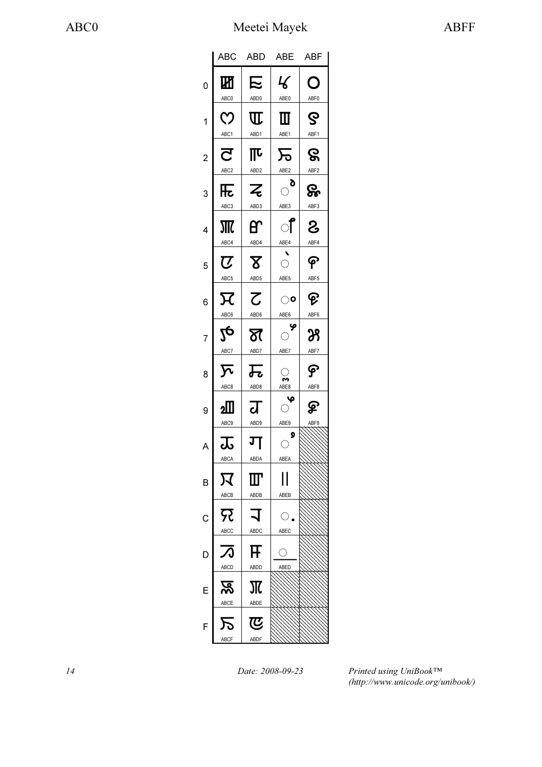|                | ABC                                         | <b>ABD</b>                                   | <b>ABE</b>                                                                           | <b>ABF</b>            |
|----------------|---------------------------------------------|----------------------------------------------|--------------------------------------------------------------------------------------|-----------------------|
| 0              | Ш<br>ABC0                                   | <b>下</b><br>ABD0                             | $\mathcal{L}% _{0}=\mathcal{L}_{\mathrm{CL}}\times\mathcal{L}_{\mathrm{CL}}$<br>ABE0 | O<br>ABF0             |
| 1              | $\mathcal{O}$<br>ABC1                       | $\mathrm{I}\!\mathrm{I}$<br>ABD1             | Ш<br>ABE1                                                                            | ဇွ<br>ABF1            |
| $\overline{c}$ | $\overline{\mathsf{C}}$                     | $\overline{\mathbb{L}}$                      | 万                                                                                    | ဇွ                    |
| 3              | ABC <sub>2</sub><br>$\overline{\mathbf{R}}$ | ABD <sub>2</sub><br>$\overline{\mathcal{Z}}$ | ABE2<br>ಿ                                                                            | ABF <sub>2</sub><br>ஓ |
| 4              | ABC3                                        | ABD3<br>В                                    | ABE3<br>ऻऀ                                                                           | ABF3<br>රි            |
| 5              | ABC4<br>$\overline{\mathcal{C}}$            | ABD4<br>${\bf \Sigma}$                       | ABE4<br>$\overline{\mathbb{C}}$                                                      | ABF4<br>၉             |
| 6              | ABC5<br>$\overline{\mathcal{H}}$            | ABD5<br>$\overline{\mathcal{C}}$             | ABE5<br>ಂ                                                                            | ABF5<br>ଡ଼            |
|                | ABC6<br>JQ                                  | ABD6<br>ষ                                    | ABE6<br>ଂ                                                                            | ABF6<br>39            |
| 7              | ABC7<br>$\overline{\mathcal{N}}$            | ABD7                                         | ABE7                                                                                 | ABF7<br>န             |
| 8              | ABC8                                        | 瓦<br>ABD8                                    | $\langle \cdot \rangle$<br>∾<br>ABE8<br>$\mathbf{\varphi}$                           | ABF8                  |
| 9              | ≰<br>ABC9                                   | द्व<br>ABD9                                  | $\langle \rangle$<br>ABE9<br>9                                                       | <u>ዎ</u><br>ABF9      |
| A              | —<br>ಹ<br>ABCA                              | ग<br>ABDA                                    | $\hat{\mathcal{C}}$<br>ABEA                                                          |                       |
| B              | 又<br>ABCB                                   | Ш<br>ABDB                                    | Н<br>ABEB                                                                            |                       |
| С              | ନ୍ଦ<br><b>ABCC</b>                          | $\blacktriangleleft$<br>ABDC                 | $\mathbb{C}$ .<br>ABEC                                                               |                       |
|                | $\boldsymbol{\mathcal{A}}$                  | FF                                           | ୁ                                                                                    |                       |
| E              | ABCD<br><u>रू</u>                           | ABDD<br>Ж                                    | ABED                                                                                 |                       |
| F              | ABCE                                        | ABDE<br>ডে                                   |                                                                                      |                       |
|                | ABCF                                        | ABDF                                         |                                                                                      |                       |

14 Date: 2008-09-23

Printed using UniBook™ (http://www.unicode.org/unibook/)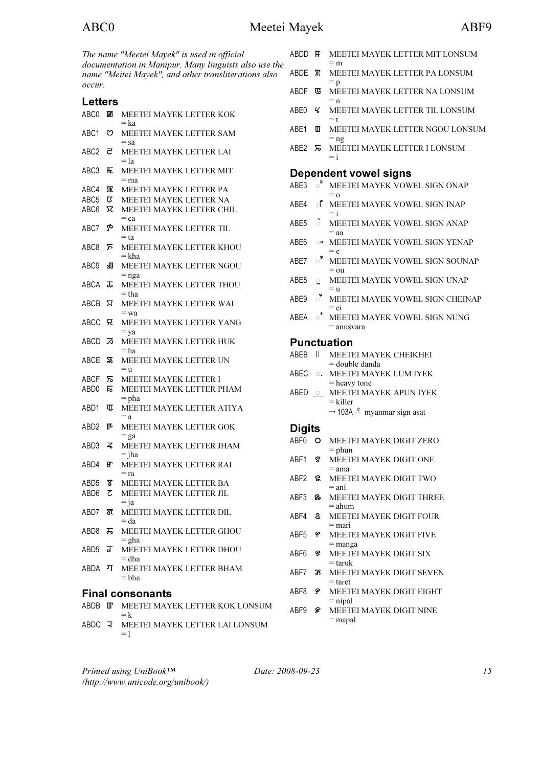| <b>ABDI</b><br>The name "Meetei Mayek" is used in official |        |                                                                                                               |                  |  |  |  |
|------------------------------------------------------------|--------|---------------------------------------------------------------------------------------------------------------|------------------|--|--|--|
|                                                            |        | documentation in Manipur. Many linguists also use the<br>name "Meitei Mayek", and other transliterations also | ABDI             |  |  |  |
| occur.                                                     |        |                                                                                                               | <b>ABDI</b>      |  |  |  |
| <b>Letters</b>                                             |        |                                                                                                               |                  |  |  |  |
| ABCO ME                                                    |        | MEETEI MAYEK LETTER KOK<br>$=$ ka                                                                             | ABE <sub>(</sub> |  |  |  |
| ABC1                                                       | ♡      | MEETEI MAYEK LETTER SAM                                                                                       | ABE <sup>-</sup> |  |  |  |
| ABC <sub>2</sub>                                           | ਟ      | $=$ sa<br>MEETEI MAYEK LETTER LAI<br>$=$ la                                                                   | ABE:             |  |  |  |
| ABC3                                                       | 兏      | MEETEI MAYEK LETTER MIT<br>$=$ ma                                                                             | De               |  |  |  |
| ABC4                                                       |        | MEETEI MAYEK LETTER PA                                                                                        | ABE:             |  |  |  |
| ABC <sub>5</sub>                                           | ए      | MEETEI MAYEK LETTER NA                                                                                        |                  |  |  |  |
| ABC6                                                       | π      | MEETEI MAYEK LETTER CHIL                                                                                      | ABE4             |  |  |  |
| ABC7                                                       | 20     | $=$ ca<br>MEETEI MAYEK LETTER TIL                                                                             | ABE!             |  |  |  |
|                                                            |        | $= ta$                                                                                                        |                  |  |  |  |
| ABC8                                                       | ᠷ      | MEETEI MAYEK LETTER KHOU<br>$=$ kha                                                                           | ABE6             |  |  |  |
| ABC9                                                       | ءШ     | MEETEI MAYEK LETTER NGOU                                                                                      | ABE.             |  |  |  |
| <b>ABCA</b>                                                | ᠼ      | $=$ nga<br>MEETEI MAYEK LETTER THOU<br>$=$ tha                                                                | <b>ABE</b>       |  |  |  |
| ABCB                                                       | ਸ਼     | MEETEI MAYEK LETTER WAI                                                                                       | ABE9             |  |  |  |
| ABCC                                                       | २      | $=$ wa<br>MEETEI MAYEK LETTER YANG                                                                            | ABE/             |  |  |  |
| <b>ABCD</b>                                                | ヵ      | $=$ ya<br>MEETEI MAYEK LETTER HUK<br>= ha                                                                     | Pu               |  |  |  |
| ABCE                                                       | ভ্ল    | MEETEI MAYEK LETTER UN<br>$=$ u                                                                               | <b>ABEI</b>      |  |  |  |
| <b>ABCF</b>                                                | ᠷ      | MEETEI MAYEK LETTER I                                                                                         | ABE <sup>(</sup> |  |  |  |
| ABD0                                                       | Е      | MEETEI MAYEK LETTER PHAM<br>$=$ pha                                                                           | <b>ABEI</b>      |  |  |  |
| ABD1                                                       | ℼ      | MEETEI MAYEK LETTER ATIYA<br>$= a$                                                                            |                  |  |  |  |
| ABD2                                                       | ℼ      | MEETEI MAYEK LETTER GOK                                                                                       | Dig              |  |  |  |
| ABD3                                                       | z      | $=$ ga<br>MEETEI MAYEK LETTER JHAM                                                                            | ABF <sub>(</sub> |  |  |  |
| ABD4                                                       | eΥ     | $=$ jha<br>MEETEI MAYEK LETTER RAI                                                                            | ABF <sup>®</sup> |  |  |  |
|                                                            |        | $=$ ra                                                                                                        | ABF2             |  |  |  |
| ABD5<br>ABD <sub>6</sub>                                   | ४<br>ट | MEETEI MAYEK LETTER BA<br>MEETEI MAYEK LETTER JIL                                                             | ABF3             |  |  |  |
| ABD7                                                       | স্ত    | $=$ ja<br>MEETEI MAYEK LETTER DIL<br>$= da$                                                                   | ABF4             |  |  |  |
| ABD8                                                       | ᠼ      | MEETEI MAYEK LETTER GHOU<br>$=$ gha                                                                           | ABF!             |  |  |  |
| ABD9.                                                      | ग्र    | MEETEI MAYEK LETTER DHOU<br>$=$ dha                                                                           | ABF6             |  |  |  |
| ABDA                                                       | ग      | MEETEI MAYEK LETTER BHAM<br>= bha                                                                             | ABF7             |  |  |  |
|                                                            |        | <b>Final consonants</b>                                                                                       | ABF8             |  |  |  |
| ABDB IIIT                                                  |        |                                                                                                               |                  |  |  |  |
|                                                            |        | MEETEI MAYEK LETTER KOK LONSUM<br>$=k$                                                                        | ABF9             |  |  |  |
| ABDC                                                       | ਾ ਜ    | MEETEI MAYEK LETTER LAI LONSUM                                                                                |                  |  |  |  |

| ABC0                      |                         | Meetei Mayek                                                                                                  |                  |         | ABF9                                                           |
|---------------------------|-------------------------|---------------------------------------------------------------------------------------------------------------|------------------|---------|----------------------------------------------------------------|
|                           |                         | The name "Meetei Mayek" is used in official                                                                   | ABDD <b>H</b>    |         | MEETEI MAYEK LETTER MIT LONSUM<br>$=$ m                        |
| occur.                    |                         | documentation in Manipur. Many linguists also use the<br>name "Meitei Mayek", and other transliterations also | ABDE T           |         | MEETEI MAYEK LETTER PA LONSUM<br>$= p$                         |
|                           |                         |                                                                                                               | ABDF             | 呕       | MEETEI MAYEK LETTER NA LONSUM<br>$= n$                         |
| <b>Letters</b><br>ABCO ME |                         | MEETEI MAYEK LETTER KOK<br>$=$ ka                                                                             | ABE0             | Ч       | MEETEI MAYEK LETTER TIL LONSUM<br>$=$ t                        |
| ABC1 ෆ                    |                         | MEETEI MAYEK LETTER SAM<br>$=$ sa                                                                             | ABE1             | Ш       | MEETEI MAYEK LETTER NGOU LONSUM<br>$=$ ng                      |
| $ABC2$ $\vec{c}$          |                         | MEETEI MAYEK LETTER LAI<br>$=$ la                                                                             | ABE2             |         | MEETEI MAYEK LETTER I LONSUM<br>$=$ i                          |
| ABC3                      | 厎                       | MEETEI MAYEK LETTER MIT                                                                                       |                  |         | <b>Dependent vowel signs</b>                                   |
| ABC4                      | 那                       | $=$ ma<br>MEETEI MAYEK LETTER PA                                                                              |                  |         | ABE3 <sup>o</sup> MEETEI MAYEK VOWEL SIGN ONAP                 |
| ABC5 $\sigma$             |                         | MEETEI MAYEK LETTER NA                                                                                        |                  |         | $= 0$                                                          |
| ABC6 冗                    |                         | MEETEI MAYEK LETTER CHIL                                                                                      | ABE4             |         | <b>f</b> MEETEI MAYEK VOWEL SIGN INAP<br>$=$ i                 |
| ABC7                      | $\lambda_{\mathcal{O}}$ | $=$ ca<br>MEETEI MAYEK LETTER TIL                                                                             | ABE5             | $\circ$ | MEETEI MAYEK VOWEL SIGN ANAP<br>$=$ aa                         |
| ABC8                      | ⊼                       | $= ta$<br>MEETEI MAYEK LETTER KHOU                                                                            | ABE6             | ಂ       | MEETEI MAYEK VOWEL SIGN YENAP<br>$= e$                         |
| ABC9                      | ⅏                       | $=$ kha<br>MEETEI MAYEK LETTER NGOU                                                                           | ABE7             | ి       | MEETEI MAYEK VOWEL SIGN SOUNAP<br>$=$ ou                       |
| ABCA エ                    |                         | $=$ nga<br>MEETEI MAYEK LETTER THOU<br>$=$ tha                                                                | ABE8             | ្ណ      | MEETEI MAYEK VOWEL SIGN UNAP<br>$=$ u                          |
| ABCB R                    |                         | MEETEI MAYEK LETTER WAI<br>$=$ wa                                                                             | ABE9             | ੱ       | MEETEI MAYEK VOWEL SIGN CHEINAP<br>$=$ ei                      |
| ABCC 兄                    |                         | MEETEI MAYEK LETTER YANG<br>$=$ ya                                                                            | ABEA             | ଂ       | MEETEI MAYEK VOWEL SIGN NUNG<br>$=$ anusvara                   |
| $ABCD$ $\overline{2}$     |                         | MEETEI MAYEK LETTER HUK                                                                                       |                  |         | <b>Punctuation</b>                                             |
|                           |                         | = ha<br>MEETEI MAYEK LETTER UN                                                                                | ABEB II          |         | MEETEI MAYEK CHEIKHEI<br>= double danda                        |
| ABCF 5                    |                         | $=$ $u$<br>MEETEI MAYEK LETTER I                                                                              | ABEC             |         | <b>. MEETEI MAYEK LUM IYEK</b>                                 |
| ABD0 E                    |                         | MEETEI MAYEK LETTER PHAM<br>$=$ pha                                                                           | ABED             |         | $=$ heavy tone<br>$\circ$ MEETEI MAYEK APUN IYEK<br>$=$ killer |
| ABD1                      | ℼ                       | MEETEI MAYEK LETTER ATIYA<br>$= a$                                                                            |                  |         | $\rightarrow$ 103A $\delta$ myanmar sign asat                  |
| ABD2 II <sup>L</sup>      |                         | MEETEI MAYEK LETTER GOK                                                                                       | <b>Digits</b>    |         |                                                                |
| $ABD3$ $\leq$             |                         | $=$ ga<br>MEETEI MAYEK LETTER JHAM<br>$=$ jha                                                                 | ABF0 O           |         | MEETEI MAYEK DIGIT ZERO<br>$=$ phun                            |
| ABD4                      | ണ                       | MEETEI MAYEK LETTER RAI<br>$=$ ra                                                                             | ABF1             | ઙ       | MEETEI MAYEK DIGIT ONE<br>$=$ ama                              |
| $ABD5$ $X$                |                         | MEETEI MAYEK LETTER BA                                                                                        | $ABF2$ $\%$      |         | MEETEI MAYEK DIGIT TWO<br>$=$ ani                              |
| $ABD6$ $Z$                |                         | MEETEI MAYEK LETTER JIL<br>$=$ ja                                                                             | ABF3             | ନ୍ତ∙    | MEETEI MAYEK DIGIT THREE<br>= ahum                             |
| ABD7 <b>স্ত</b>           |                         | MEETEI MAYEK LETTER DIL<br>$= da$                                                                             | ABF4 8           |         | MEETEI MAYEK DIGIT FOUR<br>= mari                              |
| ABD8                      | ᠼ                       | MEETEI MAYEK LETTER GHOU<br>$=$ gha                                                                           | ABF <sub>5</sub> | န       | MEETEI MAYEK DIGIT FIVE<br>$=$ manga                           |
| ABD9 <b>J</b>             |                         | MEETEI MAYEK LETTER DHOU<br>$=$ dha                                                                           | ABF6             | E       | MEETEI MAYEK DIGIT SIX<br>$=$ taruk                            |
| ABDA                      | ग                       | MEETEI MAYEK LETTER BHAM<br>= bha                                                                             | ABF7             | 39      | MEETEI MAYEK DIGIT SEVEN<br>$=$ taret                          |
|                           |                         | <b>Final consonants</b>                                                                                       | ABF8 ም           |         | MEETEI MAYEK DIGIT EIGHT<br>$=$ nipal                          |
|                           |                         | ABDB <b>III</b> MEETEI MAYEK LETTER KOK LONSUM                                                                |                  |         |                                                                |

**9 & MEETEI MAYEK DIGIT NINE**  $=$ mapal

Printed using UniBook™ (http://www.unicode.org/unibook/)

 $= 1$ 

Date: 2008-09-23 15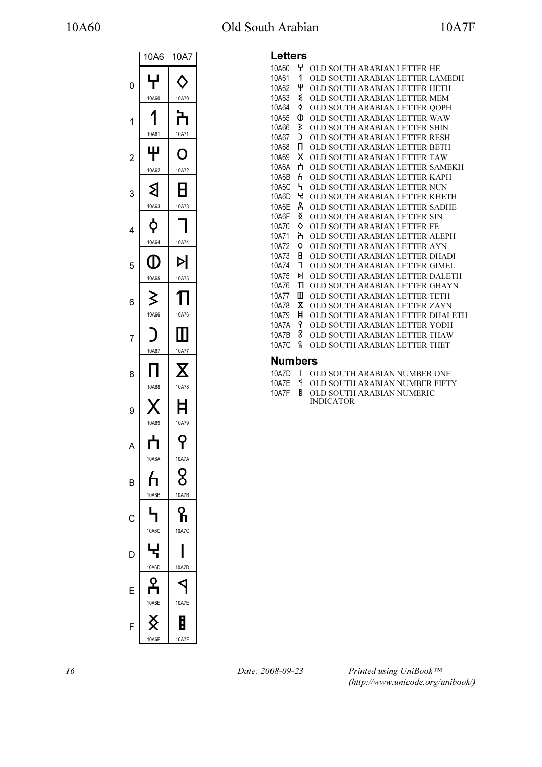# 10A60 Old South Arabian 10A7F

|                | 10A6              | 10A7              |
|----------------|-------------------|-------------------|
| 0              | ╈<br>10A60        | 10A70             |
| 1              | 10A61             | ד<br>10A71        |
| $\overline{c}$ | Ψ<br>10A62        | O<br>10A72        |
| 3              | ≵<br>10A63        | Η<br>10A73        |
| 4              | <b>φ</b><br>10A64 | 10A74             |
| 5              | (I)<br>10A65      | Þl<br>10A75       |
| 6              | 3<br>10A66        | 10A76             |
| 7              | 10A67             | 10A77             |
| 8              | 10A68             | 10A78             |
| 9              | ŗ.<br>10A69       | Ħ<br>10A79        |
| A              | ┿<br>10A6A        | 10A7A             |
| B              | <u>հ</u><br>10A6B | 8<br>10A7B        |
| С              | 10A6C             | 10A7C             |
| D              | 10A6D             | 10A7D             |
|                | 10A6E             | 10A7E             |
| F              | 10A6F             | j<br><b>10A7F</b> |

#### Letters

| 느ㄷ 나ㄷ ! ㄱ |    |                                  |
|-----------|----|----------------------------------|
| 10A60     | 4  | OLD SOUTH ARABIAN LETTER HE      |
| 10A61     | 1  | OLD SOUTH ARABIAN LETTER LAMEDH  |
| 10A62     | Ψ  | OLD SOUTH ARABIAN LETTER HETH    |
| 10A63     | ৰ  | OLD SOUTH ARABIAN LETTER MEM     |
| 10A64     | ¢  | OLD SOUTH ARABIAN LETTER OOPH    |
| 10A65     | Φ  | OLD SOUTH ARABIAN LETTER WAW     |
| 10A66     | ≿  | OLD SOUTH ARABIAN LETTER SHIN    |
| 10A67     | C  | OLD SOUTH ARABIAN LETTER RESH    |
| 10A68     | п  | OLD SOUTH ARABIAN LETTER BETH    |
| 10A69     | х  | OLD SOUTH ARABIAN LETTER TAW     |
| 10A6A     | ń  | OLD SOUTH ARABIAN LETTER SAMEKH  |
| 10A6B     | ĥ  | OLD SOUTH ARABIAN LETTER KAPH    |
| 10A6C     | ᠳ  | OLD SOUTH ARABIAN LETTER NUN     |
| 10A6D     | ч  | OLD SOUTH ARABIAN LETTER KHETH   |
| 10A6E     | ዳ  | OLD SOUTH ARABIAN LETTER SADHE   |
| 10A6F     | x  | OLD SOUTH ARABIAN LETTER SIN     |
| 10A70     | ♦  | OLD SOUTH ARABIAN LETTER FE      |
| 10A71     | ት  | OLD SOUTH ARABIAN LETTER ALEPH   |
| 10A72     | o  | OLD SOUTH ARABIAN LETTER AYN     |
| 10A73     | Η  | OLD SOUTH ARABIAN LETTER DHADI   |
| 10A74     | ٦  | OLD SOUTH ARABIAN LETTER GIMEL   |
| 10A75     | ÞI | OLD SOUTH ARABIAN LETTER DALETH  |
| 10A76     | Π  | OLD SOUTH ARABIAN LETTER GHAYN   |
| 10A77     | Ш  | OLD SOUTH ARABIAN LETTER TETH    |
| 10A78     | x  | OLD SOUTH ARABIAN LETTER ZAYN    |
| 10A79     | Ħ  | OLD SOUTH ARABIAN LETTER DHALETH |
| 10A7A     | የ  | OLD SOUTH ARABIAN LETTER YODH    |
| 10A7B     | 8  | OLD SOUTH ARABIAN LETTER THAW    |
| 10A7C     | ዬ  | OLD SOUTH ARABIAN LETTER THET    |
| . .       |    |                                  |

#### Numbers

| 10A7D I | OLD SOUTH ARABIAN NUMBER ONE |
|---------|------------------------------|
|         |                              |

- 10A7E OLD SOUTH ARABIAN NUMBER FIFTY
- 10A7F OLD SOUTH ARABIAN NUMERIC INDICATOR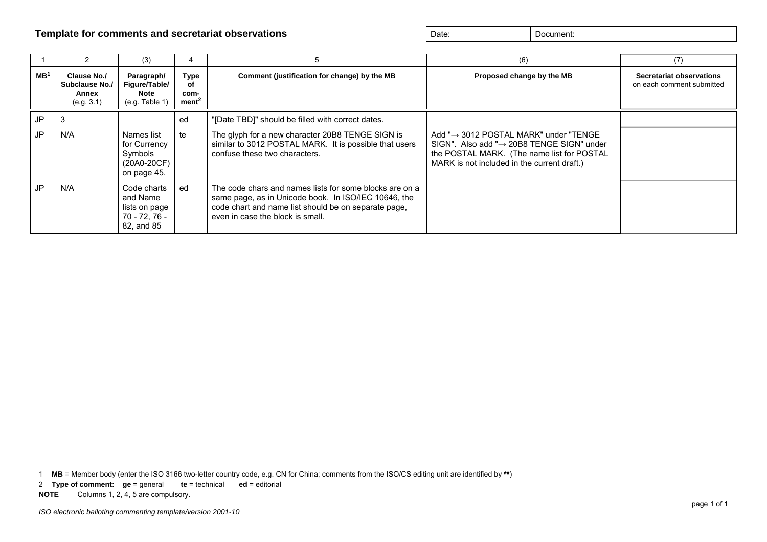#### **Template for comments and secretariat observations and secretariat observations** Date: **Date:** Document: Document:

|                 |                                                      | (3)                                                                     |                                                | 5                                                                                                                                                                                                           | (6)                                                                                                                                                                                                       | (7)                                                   |
|-----------------|------------------------------------------------------|-------------------------------------------------------------------------|------------------------------------------------|-------------------------------------------------------------------------------------------------------------------------------------------------------------------------------------------------------------|-----------------------------------------------------------------------------------------------------------------------------------------------------------------------------------------------------------|-------------------------------------------------------|
| MB <sup>1</sup> | Clause No./<br>Subclause No./<br>Annex<br>(e.g. 3.1) | Paragraph/<br>Figure/Table/<br>Note<br>(e.g. Table 1)                   | <b>Type</b><br>οf<br>com-<br>ment <sup>2</sup> | Comment (justification for change) by the MB                                                                                                                                                                | Proposed change by the MB                                                                                                                                                                                 | Secretariat observations<br>on each comment submitted |
| JP              |                                                      |                                                                         | ed                                             | '[Date TBD]" should be filled with correct dates.                                                                                                                                                           |                                                                                                                                                                                                           |                                                       |
| JP              | N/A                                                  | Names list<br>for Currency<br>Symbols<br>(20A0-20CF)<br>on page 45.     | te                                             | The glyph for a new character 20B8 TENGE SIGN is<br>similar to 3012 POSTAL MARK. It is possible that users<br>confuse these two characters.                                                                 | Add " $\rightarrow$ 3012 POSTAL MARK" under "TENGE<br>SIGN". Also add " $\rightarrow$ 20B8 TENGE SIGN" under<br>the POSTAL MARK. (The name list for POSTAL<br>MARK is not included in the current draft.) |                                                       |
| JP              | N/A                                                  | Code charts<br>and Name<br>lists on page<br>70 - 72. 76 -<br>82, and 85 | ed                                             | The code chars and names lists for some blocks are on a<br>same page, as in Unicode book. In ISO/IEC 10646, the<br>code chart and name list should be on separate page,<br>even in case the block is small. |                                                                                                                                                                                                           |                                                       |

1 **MB** = Member body (enter the ISO 3166 two-letter country code, e.g. CN for China; comments from the ISO/CS editing unit are identified by **\*\***)

2 **Type of comment: ge** = general **te** = technical **ed** = editorial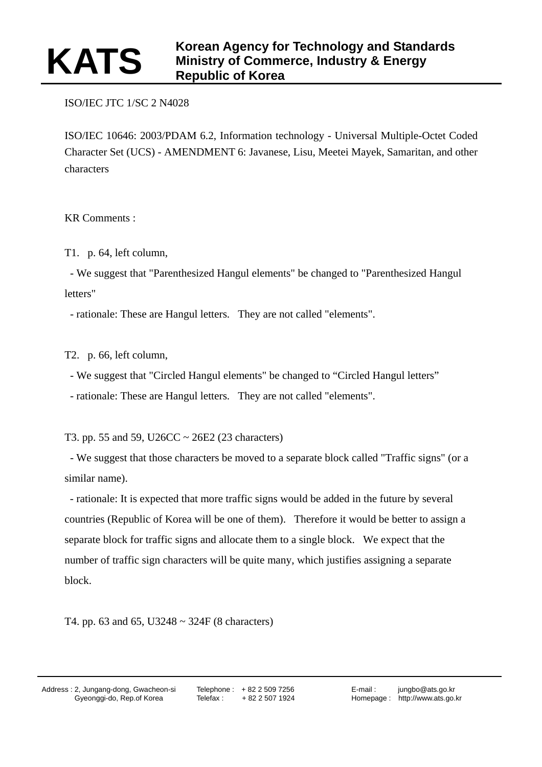## ISO/IEC JTC 1/SC 2 N4028

ISO/IEC 10646: 2003/PDAM 6.2, Information technology - Universal Multiple-Octet Coded Character Set (UCS) - AMENDMENT 6: Javanese, Lisu, Meetei Mayek, Samaritan, and other characters

KR Comments :

T1. p. 64, left column,

 - We suggest that "Parenthesized Hangul elements" be changed to "Parenthesized Hangul letters"

- rationale: These are Hangul letters. They are not called "elements".

T2. p. 66, left column,

- We suggest that "Circled Hangul elements" be changed to "Circled Hangul letters"

- rationale: These are Hangul letters. They are not called "elements".

T3. pp. 55 and 59, U26CC  $\sim$  26E2 (23 characters)

 - We suggest that those characters be moved to a separate block called "Traffic signs" (or a similar name).

 - rationale: It is expected that more traffic signs would be added in the future by several countries (Republic of Korea will be one of them). Therefore it would be better to assign a separate block for traffic signs and allocate them to a single block. We expect that the number of traffic sign characters will be quite many, which justifies assigning a separate block.

T4. pp. 63 and 65, U3248 ~ 324F (8 characters)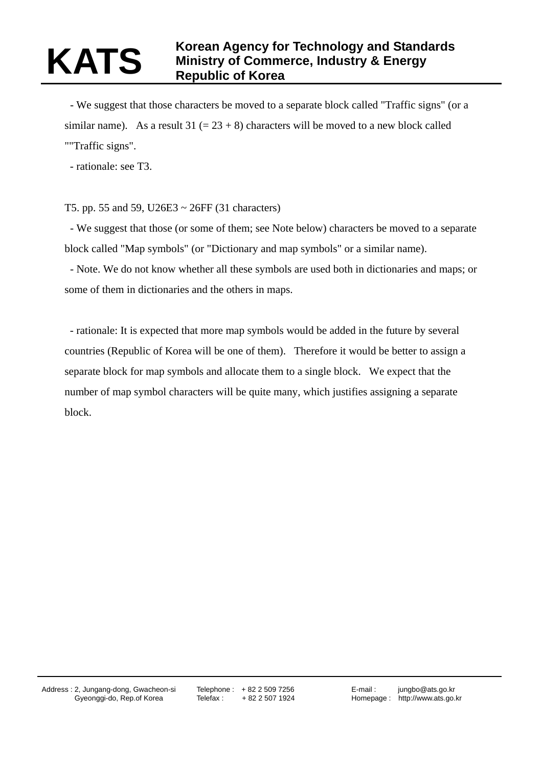# **Korean Agency for Technology and Standards**<br>Ministry of Commerce, Industry & Energy **Ministry of Commerce, Industry & Energy Republic of Korea**

 - We suggest that those characters be moved to a separate block called "Traffic signs" (or a similar name). As a result  $31 (= 23 + 8)$  characters will be moved to a new block called ""Traffic signs".

- rationale: see T3.

## T5. pp. 55 and 59, U26E3 ~ 26FF (31 characters)

 - We suggest that those (or some of them; see Note below) characters be moved to a separate block called "Map symbols" (or "Dictionary and map symbols" or a similar name).

 - Note. We do not know whether all these symbols are used both in dictionaries and maps; or some of them in dictionaries and the others in maps.

 - rationale: It is expected that more map symbols would be added in the future by several countries (Republic of Korea will be one of them). Therefore it would be better to assign a separate block for map symbols and allocate them to a single block. We expect that the number of map symbol characters will be quite many, which justifies assigning a separate block.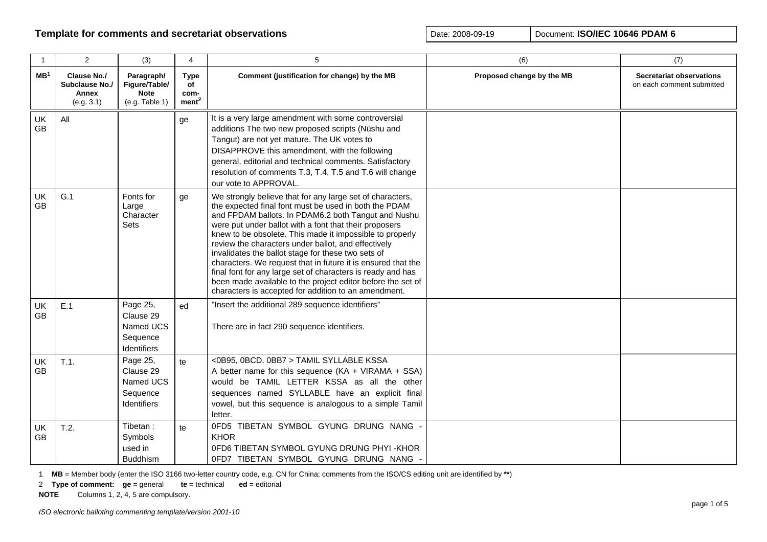| $\mathbf{1}$    | $\overline{2}$                                       | (3)                                                                  | 4                                              | 5                                                                                                                                                                                                                                                                                                                                                                                                                                                                                                                                                                                                                                                                  | (6)                       | (7)                                                          |
|-----------------|------------------------------------------------------|----------------------------------------------------------------------|------------------------------------------------|--------------------------------------------------------------------------------------------------------------------------------------------------------------------------------------------------------------------------------------------------------------------------------------------------------------------------------------------------------------------------------------------------------------------------------------------------------------------------------------------------------------------------------------------------------------------------------------------------------------------------------------------------------------------|---------------------------|--------------------------------------------------------------|
| MB <sup>1</sup> | Clause No./<br>Subclause No./<br>Annex<br>(e.g. 3.1) | Paragraph/<br>Figure/Table/<br><b>Note</b><br>(e.g. Table 1)         | <b>Type</b><br>of<br>com-<br>ment <sup>2</sup> | Comment (justification for change) by the MB                                                                                                                                                                                                                                                                                                                                                                                                                                                                                                                                                                                                                       | Proposed change by the MB | <b>Secretariat observations</b><br>on each comment submitted |
| UK<br><b>GB</b> | All                                                  |                                                                      | ge                                             | It is a very large amendment with some controversial<br>additions The two new proposed scripts (Nüshu and<br>Tangut) are not yet mature. The UK votes to<br>DISAPPROVE this amendment, with the following<br>general, editorial and technical comments. Satisfactory<br>resolution of comments T.3, T.4, T.5 and T.6 will change<br>our vote to APPROVAL.                                                                                                                                                                                                                                                                                                          |                           |                                                              |
| UK<br><b>GB</b> | G.1                                                  | Fonts for<br>Large<br>Character<br><b>Sets</b>                       | ge                                             | We strongly believe that for any large set of characters,<br>the expected final font must be used in both the PDAM<br>and FPDAM ballots. In PDAM6.2 both Tangut and Nushu<br>were put under ballot with a font that their proposers<br>knew to be obsolete. This made it impossible to properly<br>review the characters under ballot, and effectively<br>invalidates the ballot stage for these two sets of<br>characters. We request that in future it is ensured that the<br>final font for any large set of characters is ready and has<br>been made available to the project editor before the set of<br>characters is accepted for addition to an amendment. |                           |                                                              |
| UK<br><b>GB</b> | E.1                                                  | Page 25,<br>Clause 29<br>Named UCS<br>Sequence<br>Identifiers        | ed                                             | "Insert the additional 289 sequence identifiers"<br>There are in fact 290 sequence identifiers.                                                                                                                                                                                                                                                                                                                                                                                                                                                                                                                                                                    |                           |                                                              |
| UK<br><b>GB</b> | T.1.                                                 | Page 25,<br>Clause 29<br>Named UCS<br>Sequence<br><b>Identifiers</b> | te                                             | <0B95, 0BCD, 0BB7 > TAMIL SYLLABLE KSSA<br>A better name for this sequence $(KA + VIRAMA + SSA)$<br>would be TAMIL LETTER KSSA as all the other<br>sequences named SYLLABLE have an explicit final<br>vowel, but this sequence is analogous to a simple Tamil<br>letter.                                                                                                                                                                                                                                                                                                                                                                                           |                           |                                                              |
| UK<br>GB        | T.2.                                                 | Tibetan :<br>Symbols<br>used in<br><b>Buddhism</b>                   | te                                             | OFD5 TIBETAN SYMBOL GYUNG DRUNG NANG<br><b>KHOR</b><br>OFD6 TIBETAN SYMBOL GYUNG DRUNG PHYI-KHOR<br>OFD7 TIBETAN SYMBOL GYUNG DRUNG NANG -                                                                                                                                                                                                                                                                                                                                                                                                                                                                                                                         |                           |                                                              |

1 **MB** = Member body (enter the ISO 3166 two-letter country code, e.g. CN for China; comments from the ISO/CS editing unit are identified by **\*\***)

2 **Type of comment: ge** = general **te** = technical **ed** = editorial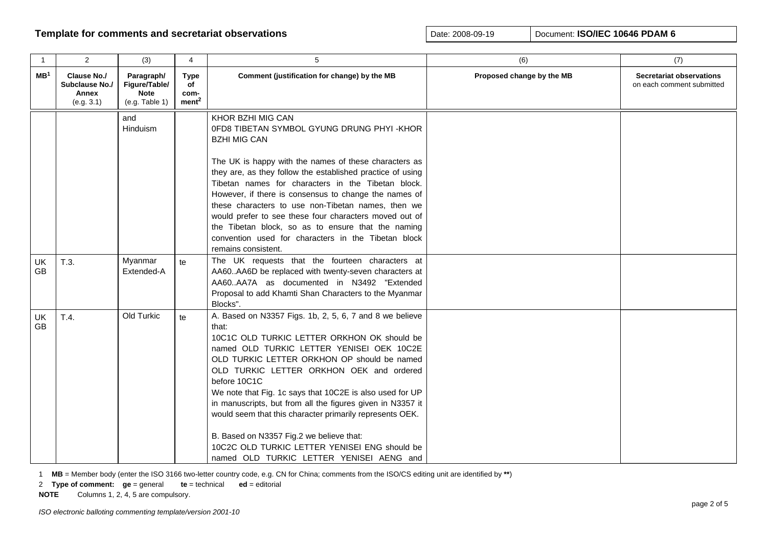| $\overline{1}$  | $\overline{2}$                                              | (3)                                                          | 4                                              | 5                                                                                                                                                                                                                                                                                                                                                                                                                                                                                                                                                                                                      | (6)                       | (7)                                                          |
|-----------------|-------------------------------------------------------------|--------------------------------------------------------------|------------------------------------------------|--------------------------------------------------------------------------------------------------------------------------------------------------------------------------------------------------------------------------------------------------------------------------------------------------------------------------------------------------------------------------------------------------------------------------------------------------------------------------------------------------------------------------------------------------------------------------------------------------------|---------------------------|--------------------------------------------------------------|
| MB <sup>1</sup> | <b>Clause No./</b><br>Subclause No./<br>Annex<br>(e.g. 3.1) | Paragraph/<br>Figure/Table/<br><b>Note</b><br>(e.g. Table 1) | <b>Type</b><br>of<br>com-<br>ment <sup>2</sup> | Comment (justification for change) by the MB                                                                                                                                                                                                                                                                                                                                                                                                                                                                                                                                                           | Proposed change by the MB | <b>Secretariat observations</b><br>on each comment submitted |
|                 |                                                             | and<br>Hinduism                                              |                                                | KHOR BZHI MIG CAN<br>0FD8 TIBETAN SYMBOL GYUNG DRUNG PHYI -KHOR<br><b>BZHI MIG CAN</b><br>The UK is happy with the names of these characters as<br>they are, as they follow the established practice of using<br>Tibetan names for characters in the Tibetan block.<br>However, if there is consensus to change the names of<br>these characters to use non-Tibetan names, then we<br>would prefer to see these four characters moved out of<br>the Tibetan block, so as to ensure that the naming<br>convention used for characters in the Tibetan block<br>remains consistent.                       |                           |                                                              |
| UK<br>GB        | T.3.                                                        | Myanmar<br>Extended-A                                        | te                                             | The UK requests that the fourteen characters at<br>AA60AA6D be replaced with twenty-seven characters at<br>AA60AA7A as documented in N3492 "Extended<br>Proposal to add Khamti Shan Characters to the Myanmar<br>Blocks".                                                                                                                                                                                                                                                                                                                                                                              |                           |                                                              |
| <b>UK</b><br>GB | T.4.                                                        | Old Turkic                                                   | te                                             | A. Based on N3357 Figs. 1b, 2, 5, 6, 7 and 8 we believe<br>that:<br>10C1C OLD TURKIC LETTER ORKHON OK should be<br>named OLD TURKIC LETTER YENISEI OEK 10C2E<br>OLD TURKIC LETTER ORKHON OP should be named<br>OLD TURKIC LETTER ORKHON OEK and ordered<br>before 10C1C<br>We note that Fig. 1c says that 10C2E is also used for UP<br>in manuscripts, but from all the figures given in N3357 it<br>would seem that this character primarily represents OEK.<br>B. Based on N3357 Fig.2 we believe that:<br>10C2C OLD TURKIC LETTER YENISEI ENG should be<br>named OLD TURKIC LETTER YENISEI AENG and |                           |                                                              |

1 **MB** = Member body (enter the ISO 3166 two-letter country code, e.g. CN for China; comments from the ISO/CS editing unit are identified by **\*\***)

2 **Type of comment: ge** = general **te** = technical **ed** = editorial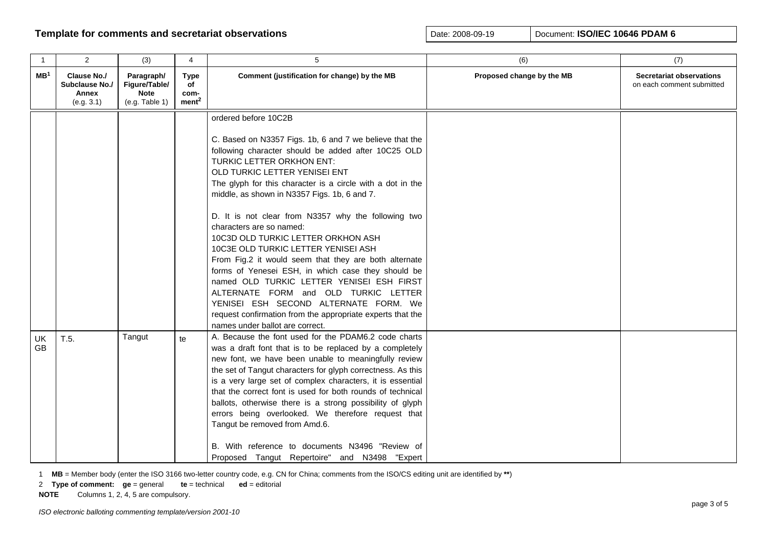| $\overline{1}$  | 2                                                           | (3)                                                          | 4                                              | 5                                                                                                                                                                                                                                                                                                                                                                                                                                                                                                                                                                                                                                                                                                                                                                                                                                | (6)                       | (7)                                                          |
|-----------------|-------------------------------------------------------------|--------------------------------------------------------------|------------------------------------------------|----------------------------------------------------------------------------------------------------------------------------------------------------------------------------------------------------------------------------------------------------------------------------------------------------------------------------------------------------------------------------------------------------------------------------------------------------------------------------------------------------------------------------------------------------------------------------------------------------------------------------------------------------------------------------------------------------------------------------------------------------------------------------------------------------------------------------------|---------------------------|--------------------------------------------------------------|
| MB <sup>1</sup> | <b>Clause No./</b><br>Subclause No./<br>Annex<br>(e.g. 3.1) | Paragraph/<br>Figure/Table/<br><b>Note</b><br>(e.g. Table 1) | <b>Type</b><br>of<br>com-<br>ment <sup>2</sup> | Comment (justification for change) by the MB                                                                                                                                                                                                                                                                                                                                                                                                                                                                                                                                                                                                                                                                                                                                                                                     | Proposed change by the MB | <b>Secretariat observations</b><br>on each comment submitted |
|                 |                                                             |                                                              |                                                | ordered before 10C2B<br>C. Based on N3357 Figs. 1b, 6 and 7 we believe that the<br>following character should be added after 10C25 OLD<br>TURKIC LETTER ORKHON ENT:<br>OLD TURKIC LETTER YENISEI ENT<br>The glyph for this character is a circle with a dot in the<br>middle, as shown in N3357 Figs. 1b, 6 and 7.<br>D. It is not clear from N3357 why the following two<br>characters are so named:<br>10C3D OLD TURKIC LETTER ORKHON ASH<br>10C3E OLD TURKIC LETTER YENISEI ASH<br>From Fig.2 it would seem that they are both alternate<br>forms of Yenesei ESH, in which case they should be<br>named OLD TURKIC LETTER YENISEI ESH FIRST<br>ALTERNATE FORM and OLD TURKIC LETTER<br>YENISEI ESH SECOND ALTERNATE FORM. We<br>request confirmation from the appropriate experts that the<br>names under ballot are correct. |                           |                                                              |
| <b>UK</b><br>GB | T.5.                                                        | Tangut                                                       | te                                             | A. Because the font used for the PDAM6.2 code charts<br>was a draft font that is to be replaced by a completely<br>new font, we have been unable to meaningfully review<br>the set of Tangut characters for glyph correctness. As this<br>is a very large set of complex characters, it is essential<br>that the correct font is used for both rounds of technical<br>ballots, otherwise there is a strong possibility of glyph<br>errors being overlooked. We therefore request that<br>Tangut be removed from Amd.6.<br>B. With reference to documents N3496 "Review of<br>Proposed Tangut Repertoire" and N3498 "Expert                                                                                                                                                                                                       |                           |                                                              |

1 **MB** = Member body (enter the ISO 3166 two-letter country code, e.g. CN for China; comments from the ISO/CS editing unit are identified by **\*\***)

2 **Type of comment: ge** = general **te** = technical **ed** = editorial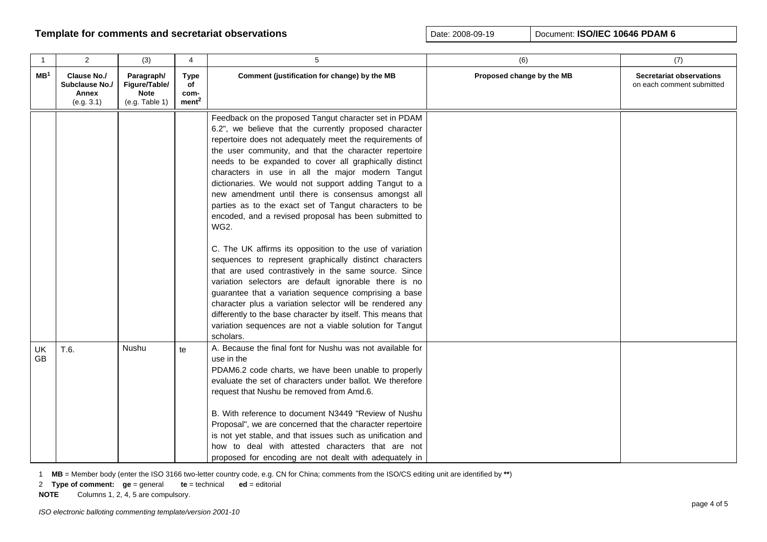| $\mathbf{1}$    | $\overline{2}$                                       | (3)                                                          | 4                                              | 5                                                                                                                                                                                                                                                                                                                                                                                                                                                                                                                                                                                                                                                                                                                                                                                                                                                                                                                                                                                                                                                                                                        | (6)                       | (7)                                                          |
|-----------------|------------------------------------------------------|--------------------------------------------------------------|------------------------------------------------|----------------------------------------------------------------------------------------------------------------------------------------------------------------------------------------------------------------------------------------------------------------------------------------------------------------------------------------------------------------------------------------------------------------------------------------------------------------------------------------------------------------------------------------------------------------------------------------------------------------------------------------------------------------------------------------------------------------------------------------------------------------------------------------------------------------------------------------------------------------------------------------------------------------------------------------------------------------------------------------------------------------------------------------------------------------------------------------------------------|---------------------------|--------------------------------------------------------------|
| MB <sup>1</sup> | Clause No./<br>Subclause No./<br>Annex<br>(e.g. 3.1) | Paragraph/<br>Figure/Table/<br><b>Note</b><br>(e.g. Table 1) | <b>Type</b><br>of<br>com-<br>ment <sup>2</sup> | Comment (justification for change) by the MB                                                                                                                                                                                                                                                                                                                                                                                                                                                                                                                                                                                                                                                                                                                                                                                                                                                                                                                                                                                                                                                             | Proposed change by the MB | <b>Secretariat observations</b><br>on each comment submitted |
|                 |                                                      |                                                              |                                                | Feedback on the proposed Tangut character set in PDAM<br>6.2", we believe that the currently proposed character<br>repertoire does not adequately meet the requirements of<br>the user community, and that the character repertoire<br>needs to be expanded to cover all graphically distinct<br>characters in use in all the major modern Tangut<br>dictionaries. We would not support adding Tangut to a<br>new amendment until there is consensus amongst all<br>parties as to the exact set of Tangut characters to be<br>encoded, and a revised proposal has been submitted to<br><b>WG2.</b><br>C. The UK affirms its opposition to the use of variation<br>sequences to represent graphically distinct characters<br>that are used contrastively in the same source. Since<br>variation selectors are default ignorable there is no<br>guarantee that a variation sequence comprising a base<br>character plus a variation selector will be rendered any<br>differently to the base character by itself. This means that<br>variation sequences are not a viable solution for Tangut<br>scholars. |                           |                                                              |
| UK<br><b>GB</b> | T.6.                                                 | Nushu                                                        | te                                             | A. Because the final font for Nushu was not available for<br>use in the<br>PDAM6.2 code charts, we have been unable to properly<br>evaluate the set of characters under ballot. We therefore<br>request that Nushu be removed from Amd.6.<br>B. With reference to document N3449 "Review of Nushu<br>Proposal", we are concerned that the character repertoire<br>is not yet stable, and that issues such as unification and<br>how to deal with attested characters that are not<br>proposed for encoding are not dealt with adequately in                                                                                                                                                                                                                                                                                                                                                                                                                                                                                                                                                              |                           |                                                              |

1 **MB** = Member body (enter the ISO 3166 two-letter country code, e.g. CN for China; comments from the ISO/CS editing unit are identified by **\*\***)

2 **Type of comment: ge** = general **te** = technical **ed** = editorial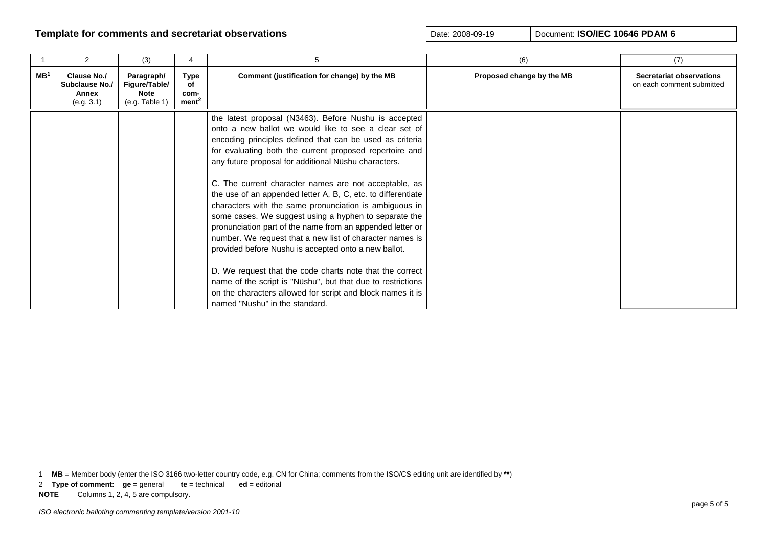|                 | $\mathcal{P}$                                        | (3)                                                          | 4                                       | 5                                                                                                                                                                                                                                                                                                                                                                                                                                                                                                                                                                                                                                                                                                                                                                                                                                                                                                                                                     | (6)                       | (7)                                                          |
|-----------------|------------------------------------------------------|--------------------------------------------------------------|-----------------------------------------|-------------------------------------------------------------------------------------------------------------------------------------------------------------------------------------------------------------------------------------------------------------------------------------------------------------------------------------------------------------------------------------------------------------------------------------------------------------------------------------------------------------------------------------------------------------------------------------------------------------------------------------------------------------------------------------------------------------------------------------------------------------------------------------------------------------------------------------------------------------------------------------------------------------------------------------------------------|---------------------------|--------------------------------------------------------------|
| MB <sup>1</sup> | Clause No./<br>Subclause No./<br>Annex<br>(e.g. 3.1) | Paragraph/<br>Figure/Table/<br><b>Note</b><br>(e.g. Table 1) | Type<br>оf<br>com-<br>ment <sup>2</sup> | Comment (justification for change) by the MB                                                                                                                                                                                                                                                                                                                                                                                                                                                                                                                                                                                                                                                                                                                                                                                                                                                                                                          | Proposed change by the MB | <b>Secretariat observations</b><br>on each comment submitted |
|                 |                                                      |                                                              |                                         | the latest proposal (N3463). Before Nushu is accepted<br>onto a new ballot we would like to see a clear set of<br>encoding principles defined that can be used as criteria<br>for evaluating both the current proposed repertoire and<br>any future proposal for additional Nüshu characters.<br>C. The current character names are not acceptable, as<br>the use of an appended letter A, B, C, etc. to differentiate<br>characters with the same pronunciation is ambiguous in<br>some cases. We suggest using a hyphen to separate the<br>pronunciation part of the name from an appended letter or<br>number. We request that a new list of character names is<br>provided before Nushu is accepted onto a new ballot.<br>D. We request that the code charts note that the correct<br>name of the script is "Nüshu", but that due to restrictions<br>on the characters allowed for script and block names it is<br>named "Nushu" in the standard. |                           |                                                              |

1 **MB** = Member body (enter the ISO 3166 two-letter country code, e.g. CN for China; comments from the ISO/CS editing unit are identified by **\*\***)

2 **Type of comment: ge** = general **te** = technical **ed** = editorial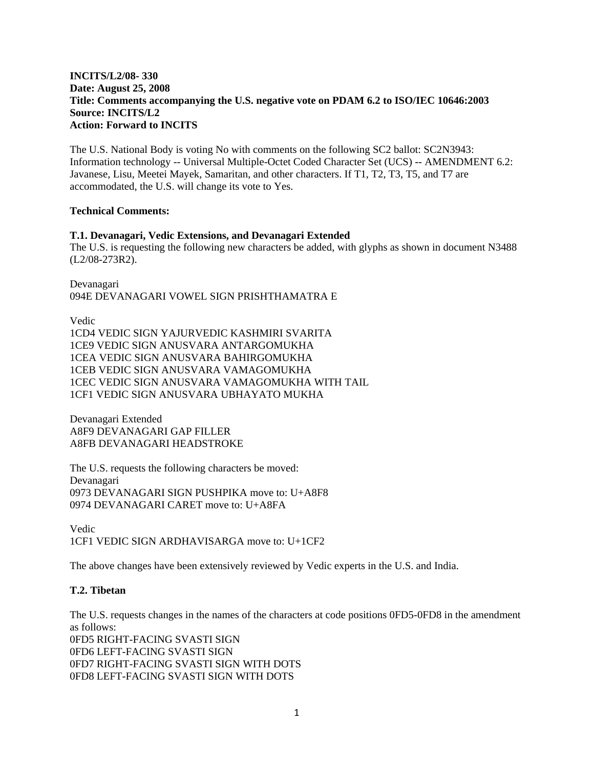#### **INCITS/L2/08- 330 Date: August 25, 2008 Title: Comments accompanying the U.S. negative vote on PDAM 6.2 to ISO/IEC 10646:2003 Source: INCITS/L2 Action: Forward to INCITS**

The U.S. National Body is voting No with comments on the following SC2 ballot: SC2N3943: Information technology -- Universal Multiple-Octet Coded Character Set (UCS) -- AMENDMENT 6.2: Javanese, Lisu, Meetei Mayek, Samaritan, and other characters. If T1, T2, T3, T5, and T7 are accommodated, the U.S. will change its vote to Yes.

#### **Technical Comments:**

#### **T.1. Devanagari, Vedic Extensions, and Devanagari Extended**

The U.S. is requesting the following new characters be added, with glyphs as shown in document N3488 (L2/08-273R2).

Devanagari 094E DEVANAGARI VOWEL SIGN PRISHTHAMATRA E

Vedic 1CD4 VEDIC SIGN YAJURVEDIC KASHMIRI SVARITA 1CE9 VEDIC SIGN ANUSVARA ANTARGOMUKHA 1CEA VEDIC SIGN ANUSVARA BAHIRGOMUKHA 1CEB VEDIC SIGN ANUSVARA VAMAGOMUKHA 1CEC VEDIC SIGN ANUSVARA VAMAGOMUKHA WITH TAIL 1CF1 VEDIC SIGN ANUSVARA UBHAYATO MUKHA

Devanagari Extended A8F9 DEVANAGARI GAP FILLER A8FB DEVANAGARI HEADSTROKE

The U.S. requests the following characters be moved: Devanagari 0973 DEVANAGARI SIGN PUSHPIKA move to: U+A8F8 0974 DEVANAGARI CARET move to: U+A8FA

Vedic 1CF1 VEDIC SIGN ARDHAVISARGA move to: U+1CF2

The above changes have been extensively reviewed by Vedic experts in the U.S. and India.

#### **T.2. Tibetan**

The U.S. requests changes in the names of the characters at code positions 0FD5-0FD8 in the amendment as follows: 0FD5 RIGHT-FACING SVASTI SIGN 0FD6 LEFT-FACING SVASTI SIGN 0FD7 RIGHT-FACING SVASTI SIGN WITH DOTS 0FD8 LEFT-FACING SVASTI SIGN WITH DOTS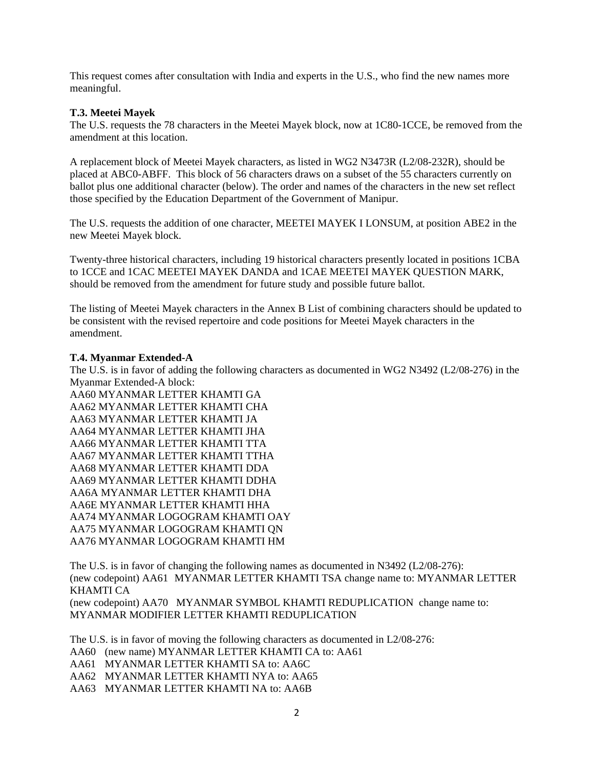This request comes after consultation with India and experts in the U.S., who find the new names more meaningful.

#### **T.3. Meetei Mayek**

The U.S. requests the 78 characters in the Meetei Mayek block, now at 1C80-1CCE, be removed from the amendment at this location.

A replacement block of Meetei Mayek characters, as listed in WG2 N3473R (L2/08-232R), should be placed at ABC0-ABFF. This block of 56 characters draws on a subset of the 55 characters currently on ballot plus one additional character (below). The order and names of the characters in the new set reflect those specified by the Education Department of the Government of Manipur.

The U.S. requests the addition of one character, MEETEI MAYEK I LONSUM, at position ABE2 in the new Meetei Mayek block.

Twenty-three historical characters, including 19 historical characters presently located in positions 1CBA to 1CCE and 1CAC MEETEI MAYEK DANDA and 1CAE MEETEI MAYEK QUESTION MARK, should be removed from the amendment for future study and possible future ballot.

The listing of Meetei Mayek characters in the Annex B List of combining characters should be updated to be consistent with the revised repertoire and code positions for Meetei Mayek characters in the amendment.

#### **T.4. Myanmar Extended-A**

The U.S. is in favor of adding the following characters as documented in WG2 N3492 (L2/08-276) in the Myanmar Extended-A block:

AA60 MYANMAR LETTER KHAMTI GA AA62 MYANMAR LETTER KHAMTI CHA AA63 MYANMAR LETTER KHAMTI JA AA64 MYANMAR LETTER KHAMTI JHA AA66 MYANMAR LETTER KHAMTI TTA AA67 MYANMAR LETTER KHAMTI TTHA AA68 MYANMAR LETTER KHAMTI DDA AA69 MYANMAR LETTER KHAMTI DDHA AA6A MYANMAR LETTER KHAMTI DHA AA6E MYANMAR LETTER KHAMTI HHA AA74 MYANMAR LOGOGRAM KHAMTI OAY AA75 MYANMAR LOGOGRAM KHAMTI QN AA76 MYANMAR LOGOGRAM KHAMTI HM

The U.S. is in favor of changing the following names as documented in N3492 (L2/08-276): (new codepoint) AA61 MYANMAR LETTER KHAMTI TSA change name to: MYANMAR LETTER KHAMTI CA

(new codepoint) AA70 MYANMAR SYMBOL KHAMTI REDUPLICATION change name to: MYANMAR MODIFIER LETTER KHAMTI REDUPLICATION

The U.S. is in favor of moving the following characters as documented in L2/08-276:

- AA60 (new name) MYANMAR LETTER KHAMTI CA to: AA61
- AA61 MYANMAR LETTER KHAMTI SA to: AA6C
- AA62 MYANMAR LETTER KHAMTI NYA to: AA65
- AA63 MYANMAR LETTER KHAMTI NA to: AA6B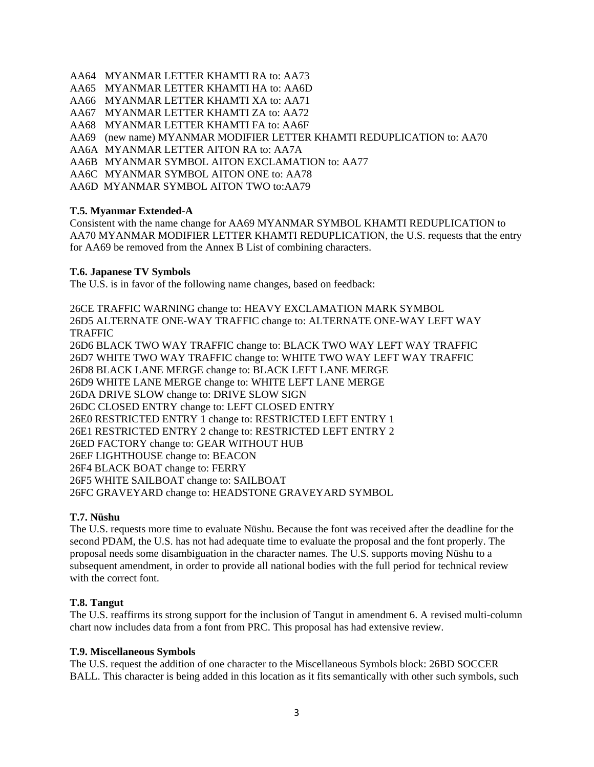- AA64 MYANMAR LETTER KHAMTI RA to: AA73
- AA65 MYANMAR LETTER KHAMTI HA to: AA6D
- AA66 MYANMAR LETTER KHAMTI XA to: AA71
- AA67 MYANMAR LETTER KHAMTI ZA to: AA72
- AA68 MYANMAR LETTER KHAMTI FA to: AA6F
- AA69 (new name) MYANMAR MODIFIER LETTER KHAMTI REDUPLICATION to: AA70
- AA6A MYANMAR LETTER AITON RA to: AA7A
- AA6B MYANMAR SYMBOL AITON EXCLAMATION to: AA77
- AA6C MYANMAR SYMBOL AITON ONE to: AA78
- AA6D MYANMAR SYMBOL AITON TWO to:AA79

#### **T.5. Myanmar Extended-A**

Consistent with the name change for AA69 MYANMAR SYMBOL KHAMTI REDUPLICATION to AA70 MYANMAR MODIFIER LETTER KHAMTI REDUPLICATION, the U.S. requests that the entry for AA69 be removed from the Annex B List of combining characters.

#### **T.6. Japanese TV Symbols**

The U.S. is in favor of the following name changes, based on feedback:

26CE TRAFFIC WARNING change to: HEAVY EXCLAMATION MARK SYMBOL 26D5 ALTERNATE ONE-WAY TRAFFIC change to: ALTERNATE ONE-WAY LEFT WAY TRAFFIC 26D6 BLACK TWO WAY TRAFFIC change to: BLACK TWO WAY LEFT WAY TRAFFIC 26D7 WHITE TWO WAY TRAFFIC change to: WHITE TWO WAY LEFT WAY TRAFFIC 26D8 BLACK LANE MERGE change to: BLACK LEFT LANE MERGE 26D9 WHITE LANE MERGE change to: WHITE LEFT LANE MERGE 26DA DRIVE SLOW change to: DRIVE SLOW SIGN 26DC CLOSED ENTRY change to: LEFT CLOSED ENTRY 26E0 RESTRICTED ENTRY 1 change to: RESTRICTED LEFT ENTRY 1 26E1 RESTRICTED ENTRY 2 change to: RESTRICTED LEFT ENTRY 2 26ED FACTORY change to: GEAR WITHOUT HUB 26EF LIGHTHOUSE change to: BEACON 26F4 BLACK BOAT change to: FERRY 26F5 WHITE SAILBOAT change to: SAILBOAT 26FC GRAVEYARD change to: HEADSTONE GRAVEYARD SYMBOL

#### **T.7. Nüshu**

The U.S. requests more time to evaluate Nüshu. Because the font was received after the deadline for the second PDAM, the U.S. has not had adequate time to evaluate the proposal and the font properly. The proposal needs some disambiguation in the character names. The U.S. supports moving Nüshu to a subsequent amendment, in order to provide all national bodies with the full period for technical review with the correct font.

#### **T.8. Tangut**

The U.S. reaffirms its strong support for the inclusion of Tangut in amendment 6. A revised multi-column chart now includes data from a font from PRC. This proposal has had extensive review.

#### **T.9. Miscellaneous Symbols**

The U.S. request the addition of one character to the Miscellaneous Symbols block: 26BD SOCCER BALL. This character is being added in this location as it fits semantically with other such symbols, such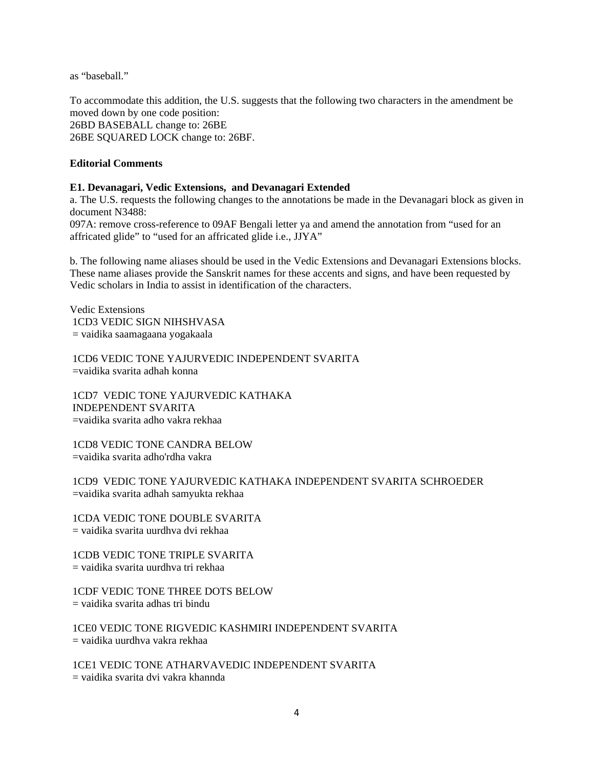as "baseball."

To accommodate this addition, the U.S. suggests that the following two characters in the amendment be moved down by one code position: 26BD BASEBALL change to: 26BE 26BE SQUARED LOCK change to: 26BF.

#### **Editorial Comments**

#### **E1. Devanagari, Vedic Extensions, and Devanagari Extended**

a. The U.S. requests the following changes to the annotations be made in the Devanagari block as given in document N3488:

097A: remove cross-reference to 09AF Bengali letter ya and amend the annotation from "used for an affricated glide" to "used for an affricated glide i.e., JJYA"

b. The following name aliases should be used in the Vedic Extensions and Devanagari Extensions blocks. These name aliases provide the Sanskrit names for these accents and signs, and have been requested by Vedic scholars in India to assist in identification of the characters.

Vedic Extensions 1CD3 VEDIC SIGN NIHSHVASA = vaidika saamagaana yogakaala

 1CD6 VEDIC TONE YAJURVEDIC INDEPENDENT SVARITA =vaidika svarita adhah konna

 1CD7 VEDIC TONE YAJURVEDIC KATHAKA INDEPENDENT SVARITA =vaidika svarita adho vakra rekhaa

 1CD8 VEDIC TONE CANDRA BELOW =vaidika svarita adho'rdha vakra

 1CD9 VEDIC TONE YAJURVEDIC KATHAKA INDEPENDENT SVARITA SCHROEDER =vaidika svarita adhah samyukta rekhaa

 1CDA VEDIC TONE DOUBLE SVARITA = vaidika svarita uurdhva dvi rekhaa

 1CDB VEDIC TONE TRIPLE SVARITA = vaidika svarita uurdhva tri rekhaa

 1CDF VEDIC TONE THREE DOTS BELOW = vaidika svarita adhas tri bindu

 1CE0 VEDIC TONE RIGVEDIC KASHMIRI INDEPENDENT SVARITA = vaidika uurdhva vakra rekhaa

 1CE1 VEDIC TONE ATHARVAVEDIC INDEPENDENT SVARITA = vaidika svarita dvi vakra khannda